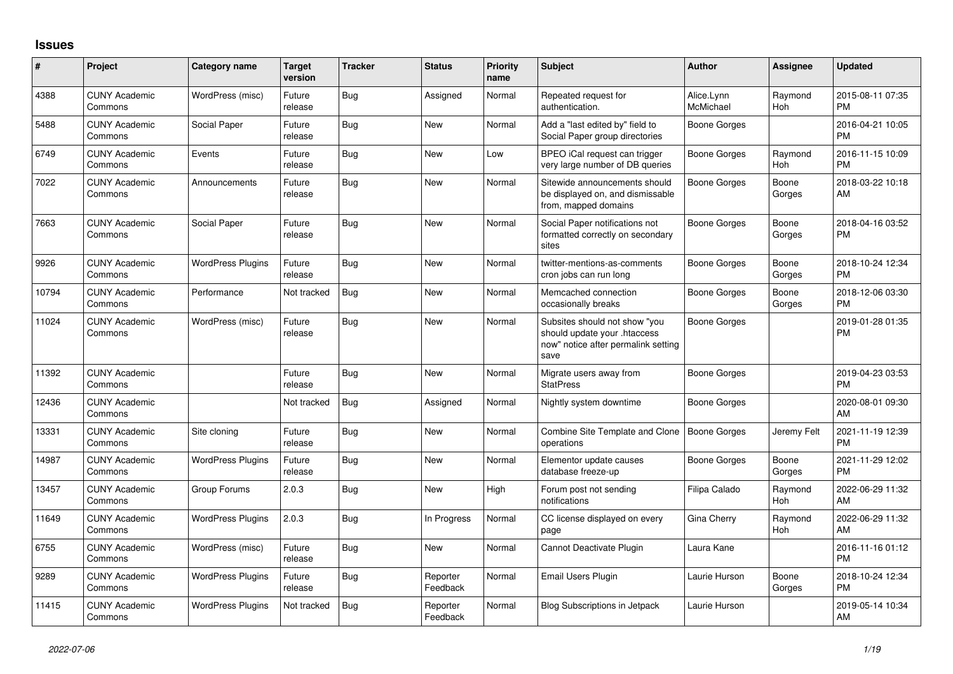## **Issues**

| #     | Project                         | <b>Category name</b>     | <b>Target</b><br>version | <b>Tracker</b> | <b>Status</b>        | <b>Priority</b><br>name | <b>Subject</b>                                                                                               | <b>Author</b>           | Assignee        | <b>Updated</b>                |
|-------|---------------------------------|--------------------------|--------------------------|----------------|----------------------|-------------------------|--------------------------------------------------------------------------------------------------------------|-------------------------|-----------------|-------------------------------|
| 4388  | <b>CUNY Academic</b><br>Commons | WordPress (misc)         | Future<br>release        | Bug            | Assigned             | Normal                  | Repeated request for<br>authentication.                                                                      | Alice.Lynn<br>McMichael | Raymond<br>Hoh  | 2015-08-11 07:35<br><b>PM</b> |
| 5488  | <b>CUNY Academic</b><br>Commons | Social Paper             | Future<br>release        | <b>Bug</b>     | New                  | Normal                  | Add a "last edited by" field to<br>Social Paper group directories                                            | <b>Boone Gorges</b>     |                 | 2016-04-21 10:05<br><b>PM</b> |
| 6749  | <b>CUNY Academic</b><br>Commons | Events                   | Future<br>release        | Bug            | <b>New</b>           | Low                     | BPEO iCal request can trigger<br>very large number of DB queries                                             | Boone Gorges            | Raymond<br>Hoh  | 2016-11-15 10:09<br><b>PM</b> |
| 7022  | <b>CUNY Academic</b><br>Commons | Announcements            | Future<br>release        | Bug            | <b>New</b>           | Normal                  | Sitewide announcements should<br>be displayed on, and dismissable<br>from, mapped domains                    | Boone Gorges            | Boone<br>Gorges | 2018-03-22 10:18<br>AM        |
| 7663  | <b>CUNY Academic</b><br>Commons | Social Paper             | Future<br>release        | Bug            | New                  | Normal                  | Social Paper notifications not<br>formatted correctly on secondary<br>sites                                  | Boone Gorges            | Boone<br>Gorges | 2018-04-16 03:52<br><b>PM</b> |
| 9926  | <b>CUNY Academic</b><br>Commons | <b>WordPress Plugins</b> | Future<br>release        | Bug            | <b>New</b>           | Normal                  | twitter-mentions-as-comments<br>cron jobs can run long                                                       | Boone Gorges            | Boone<br>Gorges | 2018-10-24 12:34<br><b>PM</b> |
| 10794 | <b>CUNY Academic</b><br>Commons | Performance              | Not tracked              | Bug            | <b>New</b>           | Normal                  | Memcached connection<br>occasionally breaks                                                                  | Boone Gorges            | Boone<br>Gorges | 2018-12-06 03:30<br><b>PM</b> |
| 11024 | <b>CUNY Academic</b><br>Commons | WordPress (misc)         | Future<br>release        | Bug            | New                  | Normal                  | Subsites should not show "you<br>should update your .htaccess<br>now" notice after permalink setting<br>save | <b>Boone Gorges</b>     |                 | 2019-01-28 01:35<br><b>PM</b> |
| 11392 | <b>CUNY Academic</b><br>Commons |                          | Future<br>release        | Bug            | <b>New</b>           | Normal                  | Migrate users away from<br><b>StatPress</b>                                                                  | <b>Boone Gorges</b>     |                 | 2019-04-23 03:53<br><b>PM</b> |
| 12436 | <b>CUNY Academic</b><br>Commons |                          | Not tracked              | Bug            | Assigned             | Normal                  | Nightly system downtime                                                                                      | Boone Gorges            |                 | 2020-08-01 09:30<br>AM        |
| 13331 | <b>CUNY Academic</b><br>Commons | Site cloning             | Future<br>release        | <b>Bug</b>     | New                  | Normal                  | Combine Site Template and Clone<br>operations                                                                | Boone Gorges            | Jeremy Felt     | 2021-11-19 12:39<br><b>PM</b> |
| 14987 | <b>CUNY Academic</b><br>Commons | <b>WordPress Plugins</b> | Future<br>release        | Bug            | <b>New</b>           | Normal                  | Elementor update causes<br>database freeze-up                                                                | Boone Gorges            | Boone<br>Gorges | 2021-11-29 12:02<br><b>PM</b> |
| 13457 | <b>CUNY Academic</b><br>Commons | Group Forums             | 2.0.3                    | Bug            | <b>New</b>           | High                    | Forum post not sending<br>notifications                                                                      | Filipa Calado           | Raymond<br>Hoh  | 2022-06-29 11:32<br>AM        |
| 11649 | <b>CUNY Academic</b><br>Commons | <b>WordPress Plugins</b> | 2.0.3                    | Bug            | In Progress          | Normal                  | CC license displayed on every<br>page                                                                        | Gina Cherry             | Raymond<br>Hoh  | 2022-06-29 11:32<br>AM        |
| 6755  | <b>CUNY Academic</b><br>Commons | WordPress (misc)         | Future<br>release        | <b>Bug</b>     | New                  | Normal                  | Cannot Deactivate Plugin                                                                                     | Laura Kane              |                 | 2016-11-16 01:12<br><b>PM</b> |
| 9289  | <b>CUNY Academic</b><br>Commons | <b>WordPress Plugins</b> | Future<br>release        | Bug            | Reporter<br>Feedback | Normal                  | Email Users Plugin                                                                                           | Laurie Hurson           | Boone<br>Gorges | 2018-10-24 12:34<br><b>PM</b> |
| 11415 | <b>CUNY Academic</b><br>Commons | <b>WordPress Plugins</b> | Not tracked              | Bug            | Reporter<br>Feedback | Normal                  | <b>Blog Subscriptions in Jetpack</b>                                                                         | Laurie Hurson           |                 | 2019-05-14 10:34<br>AM        |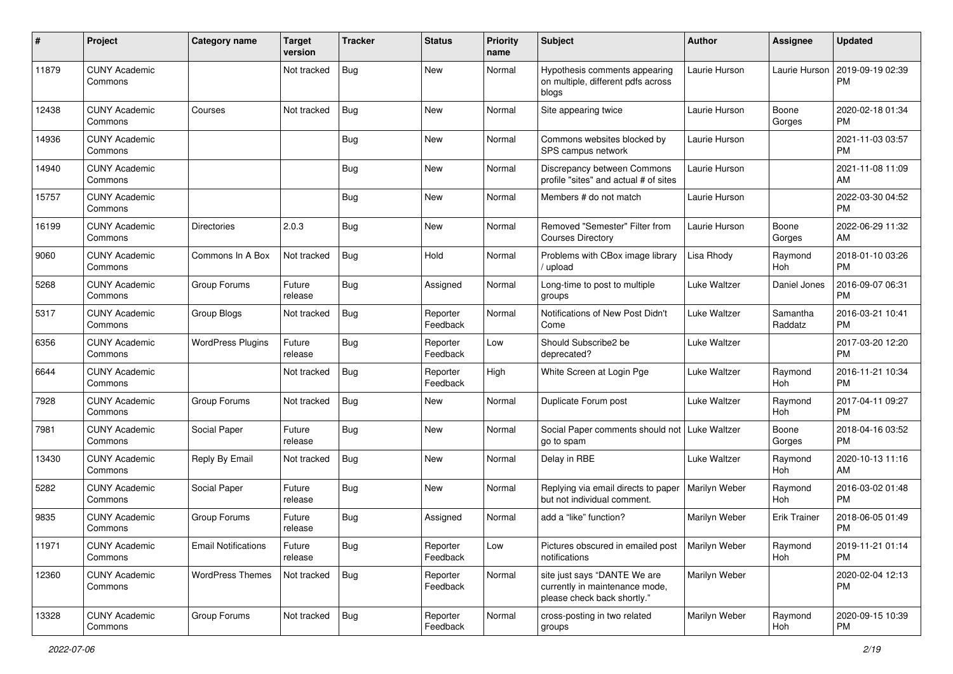| #     | Project                         | <b>Category name</b>       | <b>Target</b><br>version | <b>Tracker</b> | <b>Status</b>        | Priority<br>name | <b>Subject</b>                                                                                | Author        | <b>Assignee</b>     | <b>Updated</b>                |
|-------|---------------------------------|----------------------------|--------------------------|----------------|----------------------|------------------|-----------------------------------------------------------------------------------------------|---------------|---------------------|-------------------------------|
| 11879 | <b>CUNY Academic</b><br>Commons |                            | Not tracked              | <b>Bug</b>     | <b>New</b>           | Normal           | Hypothesis comments appearing<br>on multiple, different pdfs across<br>blogs                  | Laurie Hurson | Laurie Hurson       | 2019-09-19 02:39<br><b>PM</b> |
| 12438 | <b>CUNY Academic</b><br>Commons | Courses                    | Not tracked              | <b>Bug</b>     | <b>New</b>           | Normal           | Site appearing twice                                                                          | Laurie Hurson | Boone<br>Gorges     | 2020-02-18 01:34<br><b>PM</b> |
| 14936 | <b>CUNY Academic</b><br>Commons |                            |                          | <b>Bug</b>     | New                  | Normal           | Commons websites blocked by<br>SPS campus network                                             | Laurie Hurson |                     | 2021-11-03 03:57<br><b>PM</b> |
| 14940 | <b>CUNY Academic</b><br>Commons |                            |                          | <b>Bug</b>     | <b>New</b>           | Normal           | Discrepancy between Commons<br>profile "sites" and actual # of sites                          | Laurie Hurson |                     | 2021-11-08 11:09<br>AM        |
| 15757 | <b>CUNY Academic</b><br>Commons |                            |                          | <b>Bug</b>     | <b>New</b>           | Normal           | Members # do not match                                                                        | Laurie Hurson |                     | 2022-03-30 04:52<br><b>PM</b> |
| 16199 | <b>CUNY Academic</b><br>Commons | Directories                | 2.0.3                    | <b>Bug</b>     | New                  | Normal           | Removed "Semester" Filter from<br><b>Courses Directory</b>                                    | Laurie Hurson | Boone<br>Gorges     | 2022-06-29 11:32<br>AM        |
| 9060  | <b>CUNY Academic</b><br>Commons | Commons In A Box           | Not tracked              | <b>Bug</b>     | Hold                 | Normal           | Problems with CBox image library<br>upload                                                    | Lisa Rhody    | Raymond<br>Hoh      | 2018-01-10 03:26<br><b>PM</b> |
| 5268  | <b>CUNY Academic</b><br>Commons | Group Forums               | Future<br>release        | <b>Bug</b>     | Assigned             | Normal           | Long-time to post to multiple<br>groups                                                       | Luke Waltzer  | Daniel Jones        | 2016-09-07 06:31<br><b>PM</b> |
| 5317  | <b>CUNY Academic</b><br>Commons | Group Blogs                | Not tracked              | <b>Bug</b>     | Reporter<br>Feedback | Normal           | Notifications of New Post Didn't<br>Come                                                      | Luke Waltzer  | Samantha<br>Raddatz | 2016-03-21 10:41<br><b>PM</b> |
| 6356  | <b>CUNY Academic</b><br>Commons | <b>WordPress Plugins</b>   | Future<br>release        | <b>Bug</b>     | Reporter<br>Feedback | Low              | Should Subscribe2 be<br>deprecated?                                                           | Luke Waltzer  |                     | 2017-03-20 12:20<br><b>PM</b> |
| 6644  | <b>CUNY Academic</b><br>Commons |                            | Not tracked              | <b>Bug</b>     | Reporter<br>Feedback | High             | White Screen at Login Pge                                                                     | Luke Waltzer  | Raymond<br>Hoh      | 2016-11-21 10:34<br><b>PM</b> |
| 7928  | <b>CUNY Academic</b><br>Commons | Group Forums               | Not tracked              | Bug            | New                  | Normal           | Duplicate Forum post                                                                          | Luke Waltzer  | Raymond<br>Hoh      | 2017-04-11 09:27<br><b>PM</b> |
| 7981  | <b>CUNY Academic</b><br>Commons | Social Paper               | Future<br>release        | <b>Bug</b>     | <b>New</b>           | Normal           | Social Paper comments should not   Luke Waltzer<br>go to spam                                 |               | Boone<br>Gorges     | 2018-04-16 03:52<br><b>PM</b> |
| 13430 | <b>CUNY Academic</b><br>Commons | Reply By Email             | Not tracked              | <b>Bug</b>     | New                  | Normal           | Delay in RBE                                                                                  | Luke Waltzer  | Raymond<br>Hoh      | 2020-10-13 11:16<br>AM        |
| 5282  | <b>CUNY Academic</b><br>Commons | Social Paper               | Future<br>release        | <b>Bug</b>     | New                  | Normal           | Replying via email directs to paper<br>but not individual comment.                            | Marilyn Weber | Raymond<br>Hoh      | 2016-03-02 01:48<br><b>PM</b> |
| 9835  | <b>CUNY Academic</b><br>Commons | Group Forums               | Future<br>release        | <b>Bug</b>     | Assigned             | Normal           | add a "like" function?                                                                        | Marilyn Weber | <b>Erik Trainer</b> | 2018-06-05 01:49<br><b>PM</b> |
| 11971 | <b>CUNY Academic</b><br>Commons | <b>Email Notifications</b> | Future<br>release        | <b>Bug</b>     | Reporter<br>Feedback | Low              | Pictures obscured in emailed post<br>notifications                                            | Marilyn Weber | Raymond<br>Hoh      | 2019-11-21 01:14<br><b>PM</b> |
| 12360 | <b>CUNY Academic</b><br>Commons | <b>WordPress Themes</b>    | Not tracked              | Bug            | Reporter<br>Feedback | Normal           | site just says "DANTE We are<br>currently in maintenance mode,<br>please check back shortly." | Marilyn Weber |                     | 2020-02-04 12:13<br><b>PM</b> |
| 13328 | <b>CUNY Academic</b><br>Commons | Group Forums               | Not tracked              | Bug            | Reporter<br>Feedback | Normal           | cross-posting in two related<br>groups                                                        | Marilyn Weber | Raymond<br>Hoh      | 2020-09-15 10:39<br><b>PM</b> |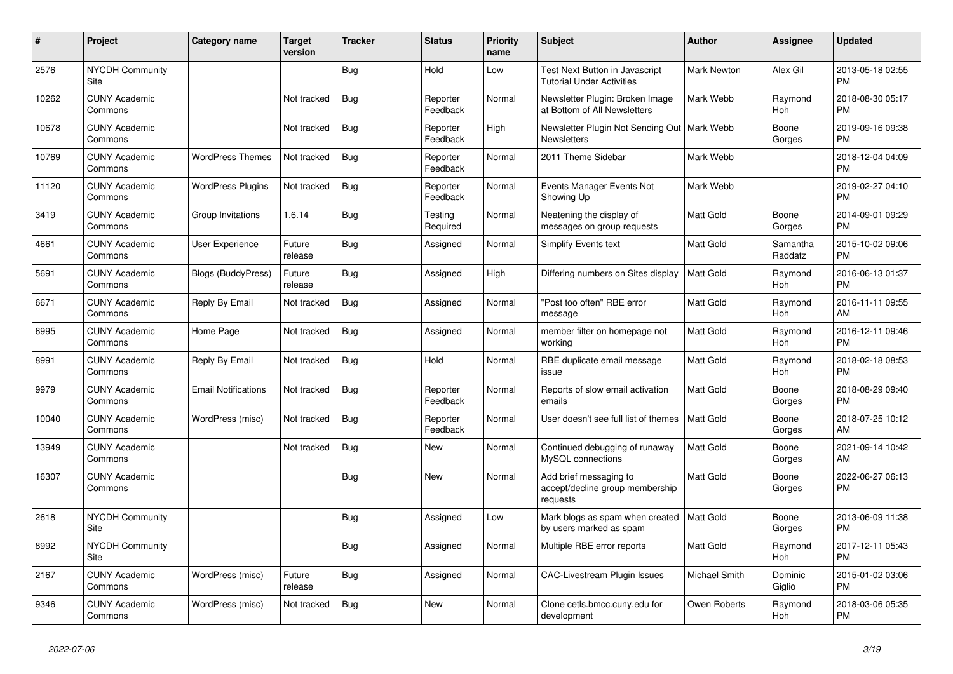| $\vert$ # | <b>Project</b>                  | Category name              | <b>Target</b><br>version | <b>Tracker</b> | <b>Status</b>        | Priority<br>name | <b>Subject</b>                                                        | Author             | Assignee            | <b>Updated</b>                |
|-----------|---------------------------------|----------------------------|--------------------------|----------------|----------------------|------------------|-----------------------------------------------------------------------|--------------------|---------------------|-------------------------------|
| 2576      | <b>NYCDH Community</b><br>Site  |                            |                          | <b>Bug</b>     | Hold                 | Low              | Test Next Button in Javascript<br><b>Tutorial Under Activities</b>    | <b>Mark Newton</b> | Alex Gil            | 2013-05-18 02:55<br><b>PM</b> |
| 10262     | <b>CUNY Academic</b><br>Commons |                            | Not tracked              | <b>Bug</b>     | Reporter<br>Feedback | Normal           | Newsletter Plugin: Broken Image<br>at Bottom of All Newsletters       | Mark Webb          | Raymond<br>Hoh      | 2018-08-30 05:17<br><b>PM</b> |
| 10678     | <b>CUNY Academic</b><br>Commons |                            | Not tracked              | <b>Bug</b>     | Reporter<br>Feedback | High             | Newsletter Plugin Not Sending Out   Mark Webb<br><b>Newsletters</b>   |                    | Boone<br>Gorges     | 2019-09-16 09:38<br><b>PM</b> |
| 10769     | <b>CUNY Academic</b><br>Commons | <b>WordPress Themes</b>    | Not tracked              | <b>Bug</b>     | Reporter<br>Feedback | Normal           | 2011 Theme Sidebar                                                    | Mark Webb          |                     | 2018-12-04 04:09<br><b>PM</b> |
| 11120     | <b>CUNY Academic</b><br>Commons | <b>WordPress Plugins</b>   | Not tracked              | <b>Bug</b>     | Reporter<br>Feedback | Normal           | Events Manager Events Not<br>Showing Up                               | Mark Webb          |                     | 2019-02-27 04:10<br><b>PM</b> |
| 3419      | <b>CUNY Academic</b><br>Commons | Group Invitations          | 1.6.14                   | Bug            | Testing<br>Required  | Normal           | Neatening the display of<br>messages on group requests                | <b>Matt Gold</b>   | Boone<br>Gorges     | 2014-09-01 09:29<br><b>PM</b> |
| 4661      | <b>CUNY Academic</b><br>Commons | User Experience            | Future<br>release        | <b>Bug</b>     | Assigned             | Normal           | <b>Simplify Events text</b>                                           | Matt Gold          | Samantha<br>Raddatz | 2015-10-02 09:06<br><b>PM</b> |
| 5691      | <b>CUNY Academic</b><br>Commons | <b>Blogs (BuddyPress)</b>  | Future<br>release        | Bug            | Assigned             | High             | Differing numbers on Sites display                                    | <b>Matt Gold</b>   | Raymond<br>Hoh      | 2016-06-13 01:37<br><b>PM</b> |
| 6671      | <b>CUNY Academic</b><br>Commons | Reply By Email             | Not tracked              | <b>Bug</b>     | Assigned             | Normal           | "Post too often" RBE error<br>message                                 | <b>Matt Gold</b>   | Raymond<br>Hoh      | 2016-11-11 09:55<br>AM        |
| 6995      | <b>CUNY Academic</b><br>Commons | Home Page                  | Not tracked              | <b>Bug</b>     | Assigned             | Normal           | member filter on homepage not<br>workina                              | <b>Matt Gold</b>   | Raymond<br>Hoh      | 2016-12-11 09:46<br><b>PM</b> |
| 8991      | <b>CUNY Academic</b><br>Commons | Reply By Email             | Not tracked              | Bug            | Hold                 | Normal           | RBE duplicate email message<br>issue                                  | <b>Matt Gold</b>   | Raymond<br>Hoh      | 2018-02-18 08:53<br><b>PM</b> |
| 9979      | <b>CUNY Academic</b><br>Commons | <b>Email Notifications</b> | Not tracked              | <b>Bug</b>     | Reporter<br>Feedback | Normal           | Reports of slow email activation<br>emails                            | <b>Matt Gold</b>   | Boone<br>Gorges     | 2018-08-29 09:40<br><b>PM</b> |
| 10040     | <b>CUNY Academic</b><br>Commons | WordPress (misc)           | Not tracked              | Bug            | Reporter<br>Feedback | Normal           | User doesn't see full list of themes                                  | Matt Gold          | Boone<br>Gorges     | 2018-07-25 10:12<br>AM        |
| 13949     | <b>CUNY Academic</b><br>Commons |                            | Not tracked              | <b>Bug</b>     | <b>New</b>           | Normal           | Continued debugging of runaway<br>MySQL connections                   | <b>Matt Gold</b>   | Boone<br>Gorges     | 2021-09-14 10:42<br>AM        |
| 16307     | <b>CUNY Academic</b><br>Commons |                            |                          | <b>Bug</b>     | <b>New</b>           | Normal           | Add brief messaging to<br>accept/decline group membership<br>requests | Matt Gold          | Boone<br>Gorges     | 2022-06-27 06:13<br><b>PM</b> |
| 2618      | <b>NYCDH Community</b><br>Site  |                            |                          | <b>Bug</b>     | Assigned             | Low              | Mark blogs as spam when created<br>by users marked as spam            | Matt Gold          | Boone<br>Gorges     | 2013-06-09 11:38<br><b>PM</b> |
| 8992      | <b>NYCDH Community</b><br>Site  |                            |                          | <b>Bug</b>     | Assigned             | Normal           | Multiple RBE error reports                                            | <b>Matt Gold</b>   | Raymond<br>Hoh      | 2017-12-11 05:43<br><b>PM</b> |
| 2167      | <b>CUNY Academic</b><br>Commons | WordPress (misc)           | Future<br>release        | <b>Bug</b>     | Assigned             | Normal           | <b>CAC-Livestream Plugin Issues</b>                                   | Michael Smith      | Dominic<br>Giglio   | 2015-01-02 03:06<br><b>PM</b> |
| 9346      | <b>CUNY Academic</b><br>Commons | WordPress (misc)           | Not tracked              | <b>Bug</b>     | <b>New</b>           | Normal           | Clone cetls.bmcc.cuny.edu for<br>development                          | Owen Roberts       | Raymond<br>Hoh      | 2018-03-06 05:35<br><b>PM</b> |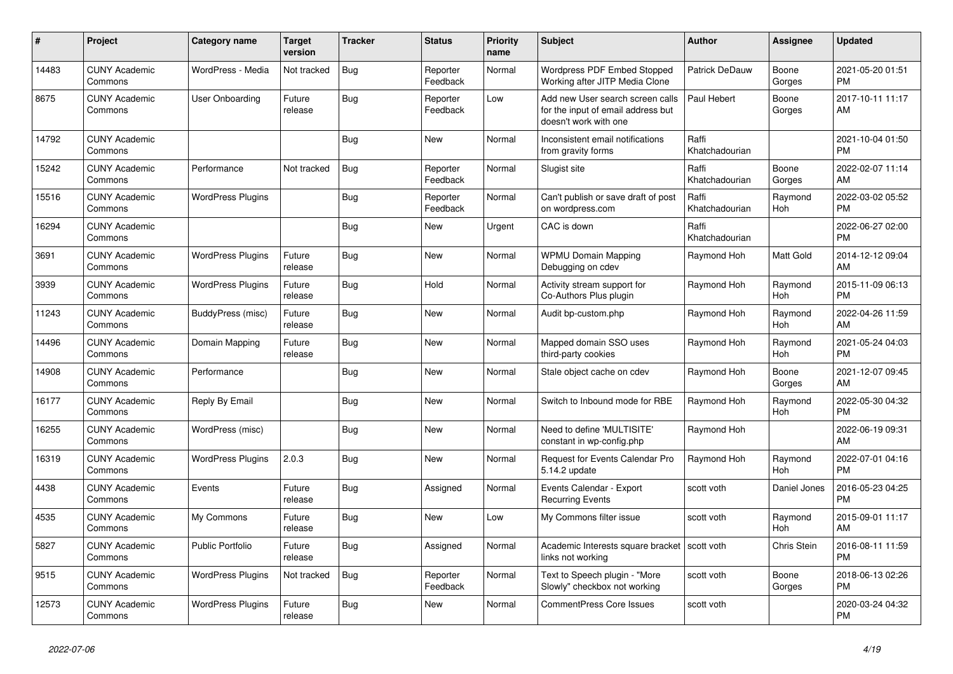| #     | Project                         | <b>Category name</b>     | <b>Target</b><br>version | <b>Tracker</b> | <b>Status</b>        | Priority<br>name | <b>Subject</b>                                                                                  | Author                  | Assignee        | <b>Updated</b>                |
|-------|---------------------------------|--------------------------|--------------------------|----------------|----------------------|------------------|-------------------------------------------------------------------------------------------------|-------------------------|-----------------|-------------------------------|
| 14483 | <b>CUNY Academic</b><br>Commons | WordPress - Media        | Not tracked              | Bug            | Reporter<br>Feedback | Normal           | Wordpress PDF Embed Stopped<br>Working after JITP Media Clone                                   | Patrick DeDauw          | Boone<br>Gorges | 2021-05-20 01:51<br><b>PM</b> |
| 8675  | <b>CUNY Academic</b><br>Commons | User Onboarding          | Future<br>release        | Bug            | Reporter<br>Feedback | Low              | Add new User search screen calls<br>for the input of email address but<br>doesn't work with one | Paul Hebert             | Boone<br>Gorges | 2017-10-11 11:17<br>AM        |
| 14792 | <b>CUNY Academic</b><br>Commons |                          |                          | Bug            | <b>New</b>           | Normal           | Inconsistent email notifications<br>from gravity forms                                          | Raffi<br>Khatchadourian |                 | 2021-10-04 01:50<br><b>PM</b> |
| 15242 | <b>CUNY Academic</b><br>Commons | Performance              | Not tracked              | <b>Bug</b>     | Reporter<br>Feedback | Normal           | Slugist site                                                                                    | Raffi<br>Khatchadourian | Boone<br>Gorges | 2022-02-07 11:14<br>AM        |
| 15516 | <b>CUNY Academic</b><br>Commons | <b>WordPress Plugins</b> |                          | Bug            | Reporter<br>Feedback | Normal           | Can't publish or save draft of post<br>on wordpress.com                                         | Raffi<br>Khatchadourian | Raymond<br>Hoh  | 2022-03-02 05:52<br><b>PM</b> |
| 16294 | <b>CUNY Academic</b><br>Commons |                          |                          | Bug            | New                  | Urgent           | CAC is down                                                                                     | Raffi<br>Khatchadourian |                 | 2022-06-27 02:00<br><b>PM</b> |
| 3691  | <b>CUNY Academic</b><br>Commons | <b>WordPress Plugins</b> | Future<br>release        | <b>Bug</b>     | <b>New</b>           | Normal           | <b>WPMU Domain Mapping</b><br>Debugging on cdev                                                 | Raymond Hoh             | Matt Gold       | 2014-12-12 09:04<br>AM        |
| 3939  | <b>CUNY Academic</b><br>Commons | <b>WordPress Plugins</b> | Future<br>release        | Bug            | Hold                 | Normal           | Activity stream support for<br>Co-Authors Plus plugin                                           | Raymond Hoh             | Raymond<br>Hoh  | 2015-11-09 06:13<br><b>PM</b> |
| 11243 | <b>CUNY Academic</b><br>Commons | BuddyPress (misc)        | Future<br>release        | Bug            | New                  | Normal           | Audit bp-custom.php                                                                             | Raymond Hoh             | Raymond<br>Hoh  | 2022-04-26 11:59<br>AM        |
| 14496 | <b>CUNY Academic</b><br>Commons | Domain Mapping           | Future<br>release        | Bug            | <b>New</b>           | Normal           | Mapped domain SSO uses<br>third-party cookies                                                   | Raymond Hoh             | Raymond<br>Hoh  | 2021-05-24 04:03<br><b>PM</b> |
| 14908 | <b>CUNY Academic</b><br>Commons | Performance              |                          | Bug            | <b>New</b>           | Normal           | Stale object cache on cdev                                                                      | Raymond Hoh             | Boone<br>Gorges | 2021-12-07 09:45<br>AM        |
| 16177 | <b>CUNY Academic</b><br>Commons | Reply By Email           |                          | Bug            | New                  | Normal           | Switch to Inbound mode for RBE                                                                  | Raymond Hoh             | Raymond<br>Hoh  | 2022-05-30 04:32<br><b>PM</b> |
| 16255 | <b>CUNY Academic</b><br>Commons | WordPress (misc)         |                          | <b>Bug</b>     | <b>New</b>           | Normal           | Need to define 'MULTISITE'<br>constant in wp-config.php                                         | Raymond Hoh             |                 | 2022-06-19 09:31<br>AM        |
| 16319 | <b>CUNY Academic</b><br>Commons | <b>WordPress Plugins</b> | 2.0.3                    | Bug            | <b>New</b>           | Normal           | <b>Request for Events Calendar Pro</b><br>5.14.2 update                                         | Raymond Hoh             | Raymond<br>Hoh  | 2022-07-01 04:16<br><b>PM</b> |
| 4438  | <b>CUNY Academic</b><br>Commons | Events                   | Future<br>release        | Bug            | Assigned             | Normal           | Events Calendar - Export<br><b>Recurring Events</b>                                             | scott voth              | Daniel Jones    | 2016-05-23 04:25<br><b>PM</b> |
| 4535  | <b>CUNY Academic</b><br>Commons | My Commons               | Future<br>release        | <b>Bug</b>     | <b>New</b>           | Low              | My Commons filter issue                                                                         | scott voth              | Raymond<br>Hoh  | 2015-09-01 11:17<br>AM        |
| 5827  | <b>CUNY Academic</b><br>Commons | <b>Public Portfolio</b>  | Future<br>release        | Bug            | Assigned             | Normal           | Academic Interests square bracket   scott voth<br>links not working                             |                         | Chris Stein     | 2016-08-11 11:59<br><b>PM</b> |
| 9515  | <b>CUNY Academic</b><br>Commons | <b>WordPress Plugins</b> | Not tracked              | Bug            | Reporter<br>Feedback | Normal           | Text to Speech plugin - "More<br>Slowly" checkbox not working                                   | scott voth              | Boone<br>Gorges | 2018-06-13 02:26<br><b>PM</b> |
| 12573 | <b>CUNY Academic</b><br>Commons | <b>WordPress Plugins</b> | Future<br>release        | Bug            | <b>New</b>           | Normal           | CommentPress Core Issues                                                                        | scott voth              |                 | 2020-03-24 04:32<br><b>PM</b> |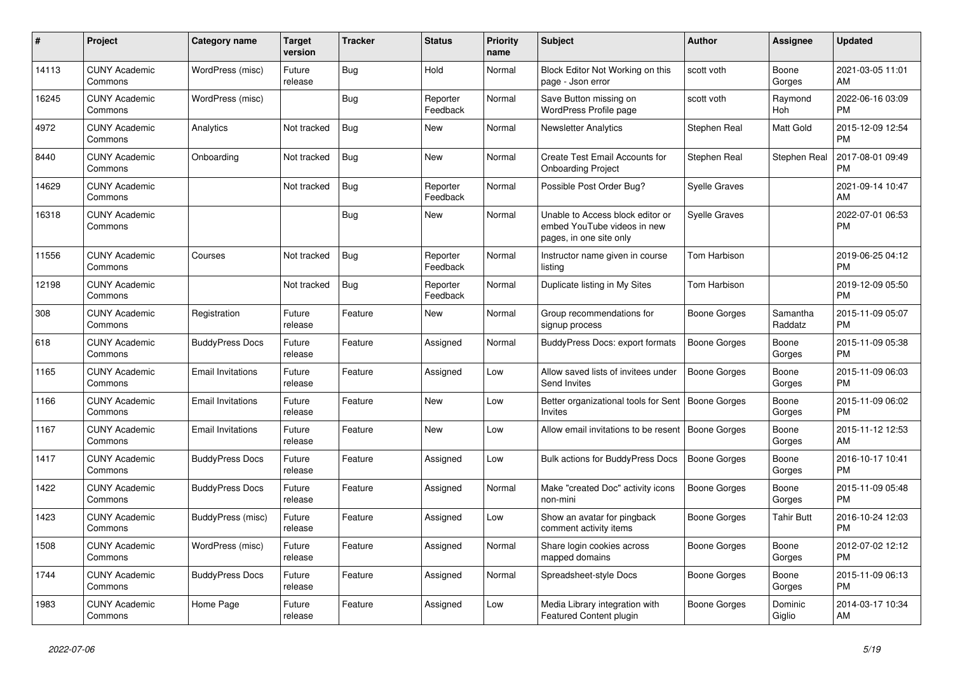| #     | <b>Project</b>                  | <b>Category name</b>     | <b>Target</b><br>version | <b>Tracker</b> | <b>Status</b>        | <b>Priority</b><br>name | <b>Subject</b>                                                                             | <b>Author</b>        | Assignee            | <b>Updated</b>                |
|-------|---------------------------------|--------------------------|--------------------------|----------------|----------------------|-------------------------|--------------------------------------------------------------------------------------------|----------------------|---------------------|-------------------------------|
| 14113 | <b>CUNY Academic</b><br>Commons | WordPress (misc)         | Future<br>release        | Bug            | Hold                 | Normal                  | Block Editor Not Working on this<br>page - Json error                                      | scott voth           | Boone<br>Gorges     | 2021-03-05 11:01<br>AM        |
| 16245 | <b>CUNY Academic</b><br>Commons | WordPress (misc)         |                          | Bug            | Reporter<br>Feedback | Normal                  | Save Button missing on<br>WordPress Profile page                                           | scott voth           | Raymond<br>Hoh      | 2022-06-16 03:09<br><b>PM</b> |
| 4972  | <b>CUNY Academic</b><br>Commons | Analytics                | Not tracked              | Bug            | New                  | Normal                  | Newsletter Analytics                                                                       | Stephen Real         | Matt Gold           | 2015-12-09 12:54<br><b>PM</b> |
| 8440  | <b>CUNY Academic</b><br>Commons | Onboarding               | Not tracked              | <b>Bug</b>     | New                  | Normal                  | Create Test Email Accounts for<br><b>Onboarding Project</b>                                | Stephen Real         | Stephen Real        | 2017-08-01 09:49<br><b>PM</b> |
| 14629 | <b>CUNY Academic</b><br>Commons |                          | Not tracked              | Bug            | Reporter<br>Feedback | Normal                  | Possible Post Order Bug?                                                                   | Syelle Graves        |                     | 2021-09-14 10:47<br>AM        |
| 16318 | <b>CUNY Academic</b><br>Commons |                          |                          | Bug            | New                  | Normal                  | Unable to Access block editor or<br>embed YouTube videos in new<br>pages, in one site only | <b>Syelle Graves</b> |                     | 2022-07-01 06:53<br><b>PM</b> |
| 11556 | <b>CUNY Academic</b><br>Commons | Courses                  | Not tracked              | Bug            | Reporter<br>Feedback | Normal                  | Instructor name given in course<br>listing                                                 | Tom Harbison         |                     | 2019-06-25 04:12<br><b>PM</b> |
| 12198 | <b>CUNY Academic</b><br>Commons |                          | Not tracked              | <b>Bug</b>     | Reporter<br>Feedback | Normal                  | Duplicate listing in My Sites                                                              | Tom Harbison         |                     | 2019-12-09 05:50<br><b>PM</b> |
| 308   | <b>CUNY Academic</b><br>Commons | Registration             | Future<br>release        | Feature        | New                  | Normal                  | Group recommendations for<br>signup process                                                | Boone Gorges         | Samantha<br>Raddatz | 2015-11-09 05:07<br><b>PM</b> |
| 618   | <b>CUNY Academic</b><br>Commons | <b>BuddyPress Docs</b>   | Future<br>release        | Feature        | Assigned             | Normal                  | <b>BuddyPress Docs: export formats</b>                                                     | <b>Boone Gorges</b>  | Boone<br>Gorges     | 2015-11-09 05:38<br><b>PM</b> |
| 1165  | <b>CUNY Academic</b><br>Commons | <b>Email Invitations</b> | Future<br>release        | Feature        | Assigned             | Low                     | Allow saved lists of invitees under<br>Send Invites                                        | <b>Boone Gorges</b>  | Boone<br>Gorges     | 2015-11-09 06:03<br><b>PM</b> |
| 1166  | <b>CUNY Academic</b><br>Commons | <b>Email Invitations</b> | Future<br>release        | Feature        | New                  | Low                     | Better organizational tools for Sent   Boone Gorges<br>Invites                             |                      | Boone<br>Gorges     | 2015-11-09 06:02<br><b>PM</b> |
| 1167  | <b>CUNY Academic</b><br>Commons | <b>Email Invitations</b> | Future<br>release        | Feature        | <b>New</b>           | Low                     | Allow email invitations to be resent   Boone Gorges                                        |                      | Boone<br>Gorges     | 2015-11-12 12:53<br>AM        |
| 1417  | <b>CUNY Academic</b><br>Commons | <b>BuddyPress Docs</b>   | Future<br>release        | Feature        | Assigned             | Low                     | Bulk actions for BuddyPress Docs                                                           | Boone Gorges         | Boone<br>Gorges     | 2016-10-17 10:41<br><b>PM</b> |
| 1422  | <b>CUNY Academic</b><br>Commons | <b>BuddyPress Docs</b>   | Future<br>release        | Feature        | Assigned             | Normal                  | Make "created Doc" activity icons<br>non-mini                                              | Boone Gorges         | Boone<br>Gorges     | 2015-11-09 05:48<br><b>PM</b> |
| 1423  | <b>CUNY Academic</b><br>Commons | BuddyPress (misc)        | Future<br>release        | Feature        | Assigned             | Low                     | Show an avatar for pingback<br>comment activity items                                      | Boone Gorges         | Tahir Butt          | 2016-10-24 12:03<br><b>PM</b> |
| 1508  | <b>CUNY Academic</b><br>Commons | WordPress (misc)         | Future<br>release        | Feature        | Assigned             | Normal                  | Share login cookies across<br>mapped domains                                               | Boone Gorges         | Boone<br>Gorges     | 2012-07-02 12:12<br><b>PM</b> |
| 1744  | <b>CUNY Academic</b><br>Commons | <b>BuddyPress Docs</b>   | Future<br>release        | Feature        | Assigned             | Normal                  | Spreadsheet-style Docs                                                                     | Boone Gorges         | Boone<br>Gorges     | 2015-11-09 06:13<br><b>PM</b> |
| 1983  | <b>CUNY Academic</b><br>Commons | Home Page                | Future<br>release        | Feature        | Assigned             | Low                     | Media Library integration with<br>Featured Content plugin                                  | Boone Gorges         | Dominic<br>Giglio   | 2014-03-17 10:34<br>AM        |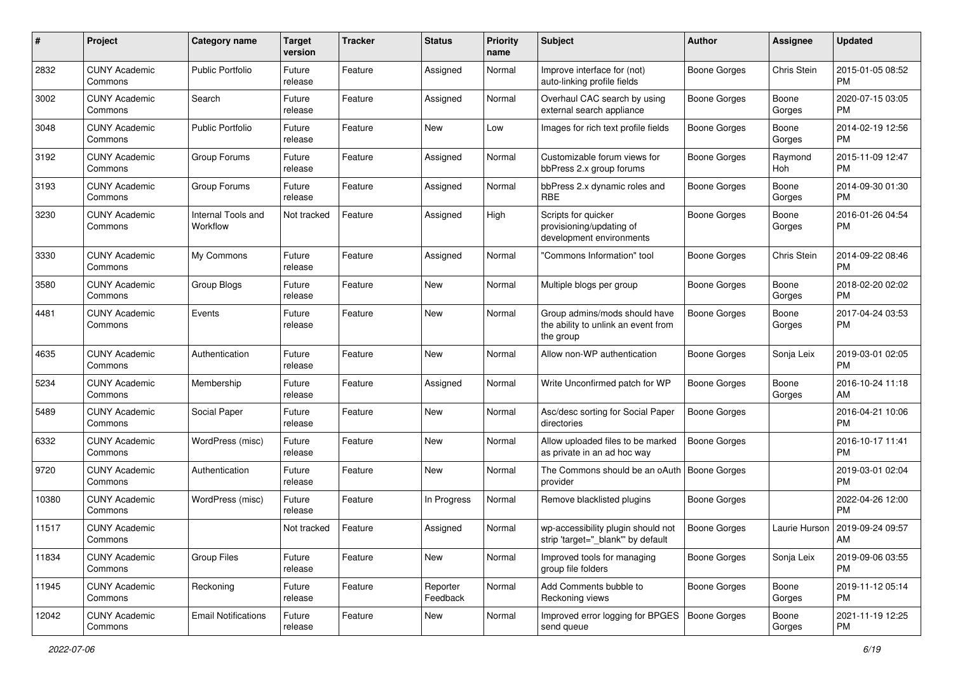| #     | Project                         | <b>Category name</b>           | <b>Target</b><br>version | <b>Tracker</b> | <b>Status</b>        | <b>Priority</b><br>name | Subject                                                                           | Author              | <b>Assignee</b> | <b>Updated</b>                |
|-------|---------------------------------|--------------------------------|--------------------------|----------------|----------------------|-------------------------|-----------------------------------------------------------------------------------|---------------------|-----------------|-------------------------------|
| 2832  | <b>CUNY Academic</b><br>Commons | <b>Public Portfolio</b>        | Future<br>release        | Feature        | Assigned             | Normal                  | Improve interface for (not)<br>auto-linking profile fields                        | Boone Gorges        | Chris Stein     | 2015-01-05 08:52<br>PM        |
| 3002  | <b>CUNY Academic</b><br>Commons | Search                         | Future<br>release        | Feature        | Assigned             | Normal                  | Overhaul CAC search by using<br>external search appliance                         | <b>Boone Gorges</b> | Boone<br>Gorges | 2020-07-15 03:05<br>PM        |
| 3048  | <b>CUNY Academic</b><br>Commons | <b>Public Portfolio</b>        | Future<br>release        | Feature        | New                  | Low                     | Images for rich text profile fields                                               | <b>Boone Gorges</b> | Boone<br>Gorges | 2014-02-19 12:56<br><b>PM</b> |
| 3192  | <b>CUNY Academic</b><br>Commons | Group Forums                   | Future<br>release        | Feature        | Assigned             | Normal                  | Customizable forum views for<br>bbPress 2.x group forums                          | <b>Boone Gorges</b> | Raymond<br>Hoh  | 2015-11-09 12:47<br><b>PM</b> |
| 3193  | <b>CUNY Academic</b><br>Commons | Group Forums                   | Future<br>release        | Feature        | Assigned             | Normal                  | bbPress 2.x dynamic roles and<br><b>RBE</b>                                       | <b>Boone Gorges</b> | Boone<br>Gorges | 2014-09-30 01:30<br><b>PM</b> |
| 3230  | <b>CUNY Academic</b><br>Commons | Internal Tools and<br>Workflow | Not tracked              | Feature        | Assigned             | High                    | Scripts for quicker<br>provisioning/updating of<br>development environments       | Boone Gorges        | Boone<br>Gorges | 2016-01-26 04:54<br><b>PM</b> |
| 3330  | <b>CUNY Academic</b><br>Commons | My Commons                     | Future<br>release        | Feature        | Assigned             | Normal                  | 'Commons Information" tool                                                        | <b>Boone Gorges</b> | Chris Stein     | 2014-09-22 08:46<br><b>PM</b> |
| 3580  | <b>CUNY Academic</b><br>Commons | Group Blogs                    | Future<br>release        | Feature        | New                  | Normal                  | Multiple blogs per group                                                          | <b>Boone Gorges</b> | Boone<br>Gorges | 2018-02-20 02:02<br><b>PM</b> |
| 4481  | <b>CUNY Academic</b><br>Commons | Events                         | Future<br>release        | Feature        | New                  | Normal                  | Group admins/mods should have<br>the ability to unlink an event from<br>the group | <b>Boone Gorges</b> | Boone<br>Gorges | 2017-04-24 03:53<br><b>PM</b> |
| 4635  | <b>CUNY Academic</b><br>Commons | Authentication                 | Future<br>release        | Feature        | New                  | Normal                  | Allow non-WP authentication                                                       | <b>Boone Gorges</b> | Sonja Leix      | 2019-03-01 02:05<br><b>PM</b> |
| 5234  | <b>CUNY Academic</b><br>Commons | Membership                     | Future<br>release        | Feature        | Assigned             | Normal                  | Write Unconfirmed patch for WP                                                    | <b>Boone Gorges</b> | Boone<br>Gorges | 2016-10-24 11:18<br>AM        |
| 5489  | <b>CUNY Academic</b><br>Commons | Social Paper                   | Future<br>release        | Feature        | New                  | Normal                  | Asc/desc sorting for Social Paper<br>directories                                  | <b>Boone Gorges</b> |                 | 2016-04-21 10:06<br><b>PM</b> |
| 6332  | <b>CUNY Academic</b><br>Commons | WordPress (misc)               | Future<br>release        | Feature        | New                  | Normal                  | Allow uploaded files to be marked<br>as private in an ad hoc way                  | Boone Gorges        |                 | 2016-10-17 11:41<br><b>PM</b> |
| 9720  | <b>CUNY Academic</b><br>Commons | Authentication                 | Future<br>release        | Feature        | New                  | Normal                  | The Commons should be an oAuth   Boone Gorges<br>provider                         |                     |                 | 2019-03-01 02:04<br><b>PM</b> |
| 10380 | <b>CUNY Academic</b><br>Commons | WordPress (misc)               | Future<br>release        | Feature        | In Progress          | Normal                  | Remove blacklisted plugins                                                        | <b>Boone Gorges</b> |                 | 2022-04-26 12:00<br><b>PM</b> |
| 11517 | <b>CUNY Academic</b><br>Commons |                                | Not tracked              | Feature        | Assigned             | Normal                  | wp-accessibility plugin should not<br>strip 'target="_blank"' by default          | <b>Boone Gorges</b> | Laurie Hurson   | 2019-09-24 09:57<br>AM        |
| 11834 | <b>CUNY Academic</b><br>Commons | <b>Group Files</b>             | Future<br>release        | Feature        | New                  | Normal                  | Improved tools for managing<br>group file folders                                 | Boone Gorges        | Sonja Leix      | 2019-09-06 03:55<br><b>PM</b> |
| 11945 | <b>CUNY Academic</b><br>Commons | Reckoning                      | Future<br>release        | Feature        | Reporter<br>Feedback | Normal                  | Add Comments bubble to<br>Reckoning views                                         | Boone Gorges        | Boone<br>Gorges | 2019-11-12 05:14<br><b>PM</b> |
| 12042 | <b>CUNY Academic</b><br>Commons | <b>Email Notifications</b>     | Future<br>release        | Feature        | New                  | Normal                  | Improved error logging for BPGES   Boone Gorges<br>send queue                     |                     | Boone<br>Gorges | 2021-11-19 12:25<br><b>PM</b> |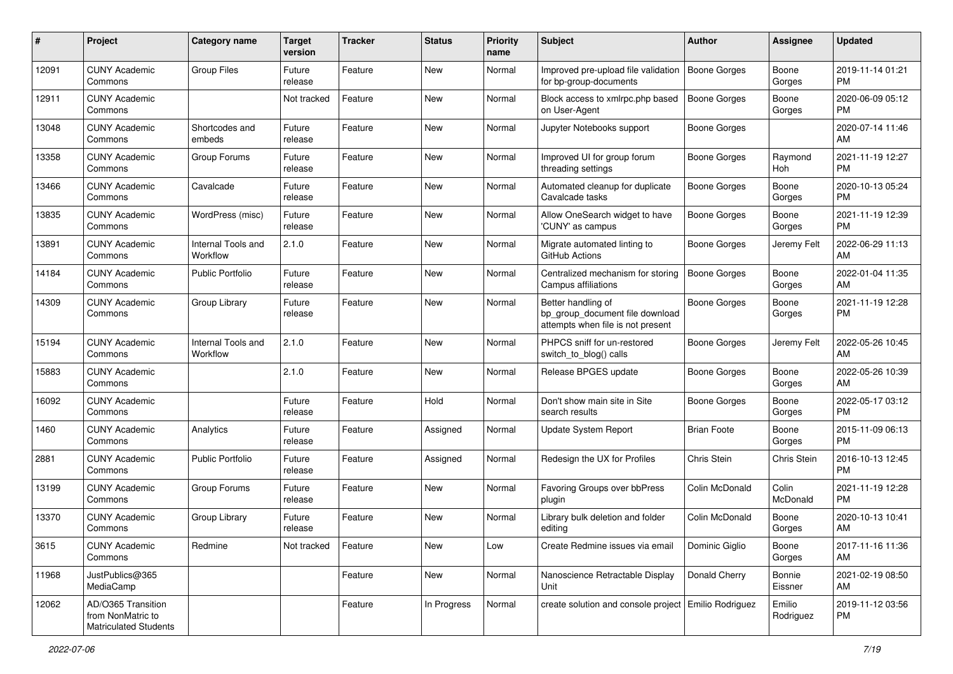| #     | Project                                                          | <b>Category name</b>           | <b>Target</b><br>version | <b>Tracker</b> | <b>Status</b> | <b>Priority</b><br>name | <b>Subject</b>                                                                             | <b>Author</b>       | <b>Assignee</b>     | <b>Updated</b>                |
|-------|------------------------------------------------------------------|--------------------------------|--------------------------|----------------|---------------|-------------------------|--------------------------------------------------------------------------------------------|---------------------|---------------------|-------------------------------|
| 12091 | <b>CUNY Academic</b><br>Commons                                  | <b>Group Files</b>             | Future<br>release        | Feature        | New           | Normal                  | Improved pre-upload file validation<br>for bp-group-documents                              | Boone Gorges        | Boone<br>Gorges     | 2019-11-14 01:21<br>PM        |
| 12911 | <b>CUNY Academic</b><br>Commons                                  |                                | Not tracked              | Feature        | New           | Normal                  | Block access to xmlrpc.php based<br>on User-Agent                                          | <b>Boone Gorges</b> | Boone<br>Gorges     | 2020-06-09 05:12<br><b>PM</b> |
| 13048 | <b>CUNY Academic</b><br>Commons                                  | Shortcodes and<br>embeds       | Future<br>release        | Feature        | New           | Normal                  | Jupyter Notebooks support                                                                  | <b>Boone Gorges</b> |                     | 2020-07-14 11:46<br>AM        |
| 13358 | <b>CUNY Academic</b><br>Commons                                  | Group Forums                   | Future<br>release        | Feature        | New           | Normal                  | Improved UI for group forum<br>threading settings                                          | <b>Boone Gorges</b> | Raymond<br>Hoh      | 2021-11-19 12:27<br><b>PM</b> |
| 13466 | <b>CUNY Academic</b><br>Commons                                  | Cavalcade                      | Future<br>release        | Feature        | New           | Normal                  | Automated cleanup for duplicate<br>Cavalcade tasks                                         | <b>Boone Gorges</b> | Boone<br>Gorges     | 2020-10-13 05:24<br><b>PM</b> |
| 13835 | <b>CUNY Academic</b><br>Commons                                  | WordPress (misc)               | Future<br>release        | Feature        | New           | Normal                  | Allow OneSearch widget to have<br>'CUNY' as campus                                         | <b>Boone Gorges</b> | Boone<br>Gorges     | 2021-11-19 12:39<br><b>PM</b> |
| 13891 | <b>CUNY Academic</b><br>Commons                                  | Internal Tools and<br>Workflow | 2.1.0                    | Feature        | New           | Normal                  | Migrate automated linting to<br>GitHub Actions                                             | <b>Boone Gorges</b> | Jeremy Felt         | 2022-06-29 11:13<br>AM        |
| 14184 | <b>CUNY Academic</b><br>Commons                                  | <b>Public Portfolio</b>        | Future<br>release        | Feature        | New           | Normal                  | Centralized mechanism for storing<br>Campus affiliations                                   | Boone Gorges        | Boone<br>Gorges     | 2022-01-04 11:35<br>AM        |
| 14309 | <b>CUNY Academic</b><br>Commons                                  | Group Library                  | Future<br>release        | Feature        | New           | Normal                  | Better handling of<br>bp_group_document file download<br>attempts when file is not present | <b>Boone Gorges</b> | Boone<br>Gorges     | 2021-11-19 12:28<br><b>PM</b> |
| 15194 | <b>CUNY Academic</b><br>Commons                                  | Internal Tools and<br>Workflow | 2.1.0                    | Feature        | New           | Normal                  | PHPCS sniff for un-restored<br>switch_to_blog() calls                                      | <b>Boone Gorges</b> | Jeremy Felt         | 2022-05-26 10:45<br>AM        |
| 15883 | <b>CUNY Academic</b><br>Commons                                  |                                | 2.1.0                    | Feature        | New           | Normal                  | Release BPGES update                                                                       | <b>Boone Gorges</b> | Boone<br>Gorges     | 2022-05-26 10:39<br>AM        |
| 16092 | <b>CUNY Academic</b><br>Commons                                  |                                | Future<br>release        | Feature        | Hold          | Normal                  | Don't show main site in Site<br>search results                                             | <b>Boone Gorges</b> | Boone<br>Gorges     | 2022-05-17 03:12<br><b>PM</b> |
| 1460  | <b>CUNY Academic</b><br>Commons                                  | Analytics                      | Future<br>release        | Feature        | Assigned      | Normal                  | Update System Report                                                                       | <b>Brian Foote</b>  | Boone<br>Gorges     | 2015-11-09 06:13<br><b>PM</b> |
| 2881  | <b>CUNY Academic</b><br>Commons                                  | <b>Public Portfolio</b>        | Future<br>release        | Feature        | Assigned      | Normal                  | Redesign the UX for Profiles                                                               | Chris Stein         | Chris Stein         | 2016-10-13 12:45<br><b>PM</b> |
| 13199 | <b>CUNY Academic</b><br>Commons                                  | Group Forums                   | Future<br>release        | Feature        | New           | Normal                  | Favoring Groups over bbPress<br>plugin                                                     | Colin McDonald      | Colin<br>McDonald   | 2021-11-19 12:28<br><b>PM</b> |
| 13370 | <b>CUNY Academic</b><br>Commons                                  | Group Library                  | Future<br>release        | Feature        | New           | Normal                  | Library bulk deletion and folder<br>editing                                                | Colin McDonald      | Boone<br>Gorges     | 2020-10-13 10:41<br>AM        |
| 3615  | <b>CUNY Academic</b><br>Commons                                  | Redmine                        | Not tracked              | Feature        | New           | Low                     | Create Redmine issues via email                                                            | Dominic Giglio      | Boone<br>Gorges     | 2017-11-16 11:36<br>AM        |
| 11968 | JustPublics@365<br>MediaCamp                                     |                                |                          | Feature        | New           | Normal                  | Nanoscience Retractable Display<br>Unit                                                    | Donald Cherry       | Bonnie<br>Eissner   | 2021-02-19 08:50<br>AM        |
| 12062 | AD/O365 Transition<br>from NonMatric to<br>Matriculated Students |                                |                          | Feature        | In Progress   | Normal                  | create solution and console project Emilio Rodriguez                                       |                     | Emilio<br>Rodriguez | 2019-11-12 03:56<br><b>PM</b> |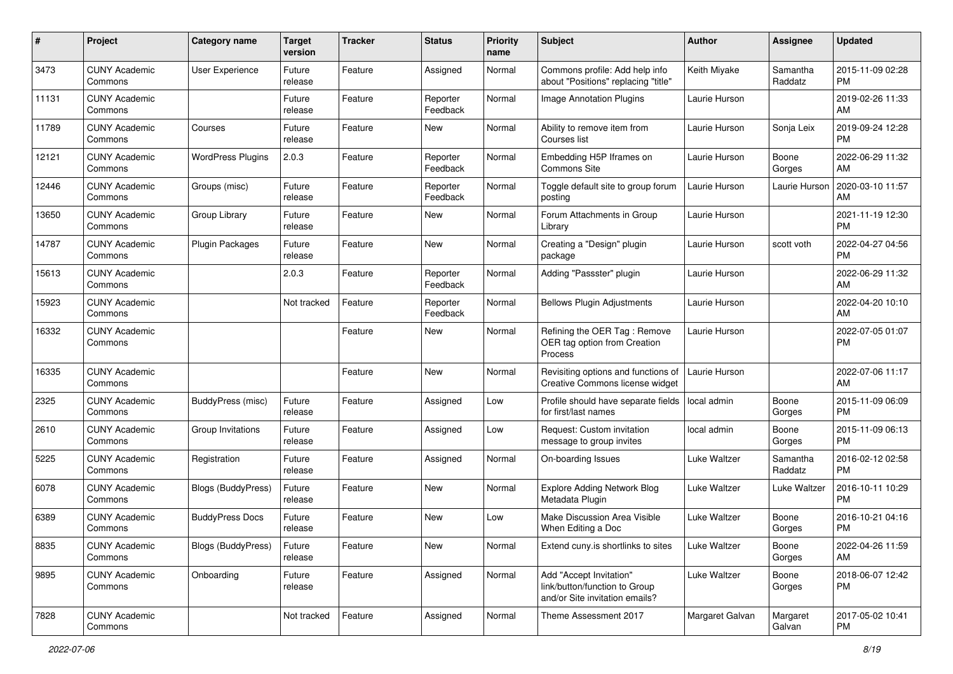| #     | Project                         | <b>Category name</b>      | <b>Target</b><br>version | <b>Tracker</b> | <b>Status</b>        | <b>Priority</b><br>name | Subject                                                                                    | Author              | Assignee            | <b>Updated</b>                |
|-------|---------------------------------|---------------------------|--------------------------|----------------|----------------------|-------------------------|--------------------------------------------------------------------------------------------|---------------------|---------------------|-------------------------------|
| 3473  | <b>CUNY Academic</b><br>Commons | User Experience           | Future<br>release        | Feature        | Assigned             | Normal                  | Commons profile: Add help info<br>about "Positions" replacing "title"                      | Keith Miyake        | Samantha<br>Raddatz | 2015-11-09 02:28<br>PM        |
| 11131 | <b>CUNY Academic</b><br>Commons |                           | Future<br>release        | Feature        | Reporter<br>Feedback | Normal                  | Image Annotation Plugins                                                                   | Laurie Hurson       |                     | 2019-02-26 11:33<br>AM        |
| 11789 | <b>CUNY Academic</b><br>Commons | Courses                   | Future<br>release        | Feature        | New                  | Normal                  | Ability to remove item from<br>Courses list                                                | Laurie Hurson       | Sonja Leix          | 2019-09-24 12:28<br>PM        |
| 12121 | <b>CUNY Academic</b><br>Commons | <b>WordPress Plugins</b>  | 2.0.3                    | Feature        | Reporter<br>Feedback | Normal                  | Embedding H5P Iframes on<br>Commons Site                                                   | Laurie Hurson       | Boone<br>Gorges     | 2022-06-29 11:32<br>AM        |
| 12446 | <b>CUNY Academic</b><br>Commons | Groups (misc)             | Future<br>release        | Feature        | Reporter<br>Feedback | Normal                  | Toggle default site to group forum<br>posting                                              | Laurie Hurson       | Laurie Hurson       | 2020-03-10 11:57<br>AM        |
| 13650 | <b>CUNY Academic</b><br>Commons | Group Library             | Future<br>release        | Feature        | New                  | Normal                  | Forum Attachments in Group<br>Library                                                      | Laurie Hurson       |                     | 2021-11-19 12:30<br>PM        |
| 14787 | <b>CUNY Academic</b><br>Commons | <b>Plugin Packages</b>    | Future<br>release        | Feature        | New                  | Normal                  | Creating a "Design" plugin<br>package                                                      | Laurie Hurson       | scott voth          | 2022-04-27 04:56<br>PM        |
| 15613 | <b>CUNY Academic</b><br>Commons |                           | 2.0.3                    | Feature        | Reporter<br>Feedback | Normal                  | Adding "Passster" plugin                                                                   | Laurie Hurson       |                     | 2022-06-29 11:32<br>AM        |
| 15923 | <b>CUNY Academic</b><br>Commons |                           | Not tracked              | Feature        | Reporter<br>Feedback | Normal                  | <b>Bellows Plugin Adjustments</b>                                                          | Laurie Hurson       |                     | 2022-04-20 10:10<br>AM        |
| 16332 | <b>CUNY Academic</b><br>Commons |                           |                          | Feature        | New                  | Normal                  | Refining the OER Tag: Remove<br>OER tag option from Creation<br>Process                    | Laurie Hurson       |                     | 2022-07-05 01:07<br>PM        |
| 16335 | <b>CUNY Academic</b><br>Commons |                           |                          | Feature        | New                  | Normal                  | Revisiting options and functions of<br>Creative Commons license widget                     | Laurie Hurson       |                     | 2022-07-06 11:17<br>AM        |
| 2325  | <b>CUNY Academic</b><br>Commons | BuddyPress (misc)         | Future<br>release        | Feature        | Assigned             | Low                     | Profile should have separate fields<br>for first/last names                                | local admin         | Boone<br>Gorges     | 2015-11-09 06:09<br>PM        |
| 2610  | <b>CUNY Academic</b><br>Commons | Group Invitations         | Future<br>release        | Feature        | Assigned             | Low                     | Request: Custom invitation<br>message to group invites                                     | local admin         | Boone<br>Gorges     | 2015-11-09 06:13<br>PM        |
| 5225  | <b>CUNY Academic</b><br>Commons | Registration              | Future<br>release        | Feature        | Assigned             | Normal                  | On-boarding Issues                                                                         | Luke Waltzer        | Samantha<br>Raddatz | 2016-02-12 02:58<br><b>PM</b> |
| 6078  | <b>CUNY Academic</b><br>Commons | <b>Blogs (BuddyPress)</b> | Future<br>release        | Feature        | New                  | Normal                  | <b>Explore Adding Network Blog</b><br>Metadata Plugin                                      | Luke Waltzer        | Luke Waltzer        | 2016-10-11 10:29<br><b>PM</b> |
| 6389  | <b>CUNY Academic</b><br>Commons | <b>BuddyPress Docs</b>    | Future<br>release        | Feature        | <b>New</b>           | Low                     | Make Discussion Area Visible<br>When Editing a Doc                                         | <b>Luke Waltzer</b> | Boone<br>Gorges     | 2016-10-21 04:16<br>PM        |
| 8835  | <b>CUNY Academic</b><br>Commons | <b>Blogs (BuddyPress)</b> | Future<br>release        | Feature        | New                  | Normal                  | Extend cuny.is shortlinks to sites                                                         | Luke Waltzer        | Boone<br>Gorges     | 2022-04-26 11:59<br>AM        |
| 9895  | <b>CUNY Academic</b><br>Commons | Onboarding                | Future<br>release        | Feature        | Assigned             | Normal                  | Add "Accept Invitation"<br>link/button/function to Group<br>and/or Site invitation emails? | Luke Waltzer        | Boone<br>Gorges     | 2018-06-07 12:42<br>PM        |
| 7828  | <b>CUNY Academic</b><br>Commons |                           | Not tracked              | Feature        | Assigned             | Normal                  | Theme Assessment 2017                                                                      | Margaret Galvan     | Margaret<br>Galvan  | 2017-05-02 10:41<br>PM        |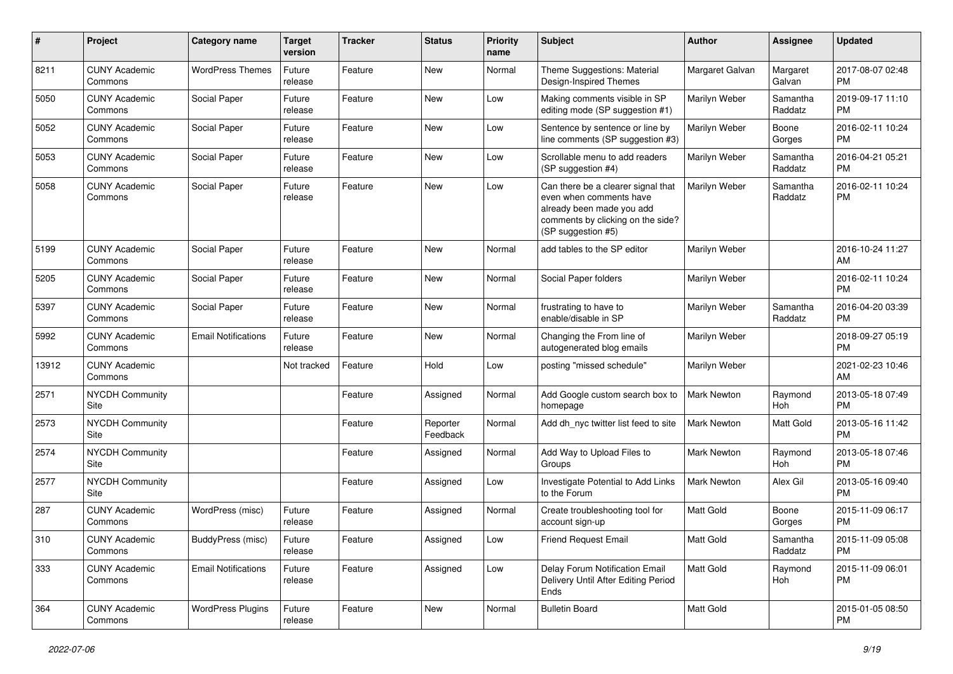| #     | Project                         | <b>Category name</b>       | <b>Target</b><br>version | <b>Tracker</b> | <b>Status</b>        | <b>Priority</b><br>name | <b>Subject</b>                                                                                                                                        | Author           | Assignee            | <b>Updated</b>                |
|-------|---------------------------------|----------------------------|--------------------------|----------------|----------------------|-------------------------|-------------------------------------------------------------------------------------------------------------------------------------------------------|------------------|---------------------|-------------------------------|
| 8211  | <b>CUNY Academic</b><br>Commons | <b>WordPress Themes</b>    | Future<br>release        | Feature        | <b>New</b>           | Normal                  | Theme Suggestions: Material<br>Design-Inspired Themes                                                                                                 | Margaret Galvan  | Margaret<br>Galvan  | 2017-08-07 02:48<br><b>PM</b> |
| 5050  | <b>CUNY Academic</b><br>Commons | Social Paper               | Future<br>release        | Feature        | New                  | Low                     | Making comments visible in SP<br>editing mode (SP suggestion #1)                                                                                      | Marilyn Weber    | Samantha<br>Raddatz | 2019-09-17 11:10<br><b>PM</b> |
| 5052  | <b>CUNY Academic</b><br>Commons | Social Paper               | Future<br>release        | Feature        | <b>New</b>           | Low                     | Sentence by sentence or line by<br>line comments (SP suggestion #3)                                                                                   | Marilyn Weber    | Boone<br>Gorges     | 2016-02-11 10:24<br><b>PM</b> |
| 5053  | <b>CUNY Academic</b><br>Commons | Social Paper               | Future<br>release        | Feature        | <b>New</b>           | Low                     | Scrollable menu to add readers<br>(SP suggestion #4)                                                                                                  | Marilyn Weber    | Samantha<br>Raddatz | 2016-04-21 05:21<br><b>PM</b> |
| 5058  | <b>CUNY Academic</b><br>Commons | Social Paper               | Future<br>release        | Feature        | <b>New</b>           | Low                     | Can there be a clearer signal that<br>even when comments have<br>already been made you add<br>comments by clicking on the side?<br>(SP suggestion #5) | Marilyn Weber    | Samantha<br>Raddatz | 2016-02-11 10:24<br><b>PM</b> |
| 5199  | <b>CUNY Academic</b><br>Commons | Social Paper               | Future<br>release        | Feature        | New                  | Normal                  | add tables to the SP editor                                                                                                                           | Marilyn Weber    |                     | 2016-10-24 11:27<br>AM        |
| 5205  | <b>CUNY Academic</b><br>Commons | Social Paper               | Future<br>release        | Feature        | <b>New</b>           | Normal                  | Social Paper folders                                                                                                                                  | Marilyn Weber    |                     | 2016-02-11 10:24<br><b>PM</b> |
| 5397  | <b>CUNY Academic</b><br>Commons | Social Paper               | Future<br>release        | Feature        | <b>New</b>           | Normal                  | frustrating to have to<br>enable/disable in SP                                                                                                        | Marilyn Weber    | Samantha<br>Raddatz | 2016-04-20 03:39<br><b>PM</b> |
| 5992  | <b>CUNY Academic</b><br>Commons | <b>Email Notifications</b> | Future<br>release        | Feature        | <b>New</b>           | Normal                  | Changing the From line of<br>autogenerated blog emails                                                                                                | Marilyn Weber    |                     | 2018-09-27 05:19<br><b>PM</b> |
| 13912 | <b>CUNY Academic</b><br>Commons |                            | Not tracked              | Feature        | Hold                 | Low                     | posting "missed schedule"                                                                                                                             | Marilyn Weber    |                     | 2021-02-23 10:46<br>AM        |
| 2571  | <b>NYCDH Community</b><br>Site  |                            |                          | Feature        | Assigned             | Normal                  | Add Google custom search box to<br>homepage                                                                                                           | Mark Newton      | Raymond<br>Hoh      | 2013-05-18 07:49<br><b>PM</b> |
| 2573  | <b>NYCDH Community</b><br>Site  |                            |                          | Feature        | Reporter<br>Feedback | Normal                  | Add dh nyc twitter list feed to site                                                                                                                  | Mark Newton      | Matt Gold           | 2013-05-16 11:42<br><b>PM</b> |
| 2574  | <b>NYCDH Community</b><br>Site  |                            |                          | Feature        | Assigned             | Normal                  | Add Way to Upload Files to<br>Groups                                                                                                                  | Mark Newton      | Raymond<br>Hoh      | 2013-05-18 07:46<br><b>PM</b> |
| 2577  | <b>NYCDH Community</b><br>Site  |                            |                          | Feature        | Assigned             | Low                     | Investigate Potential to Add Links<br>to the Forum                                                                                                    | Mark Newton      | Alex Gil            | 2013-05-16 09:40<br><b>PM</b> |
| 287   | <b>CUNY Academic</b><br>Commons | WordPress (misc)           | Future<br>release        | Feature        | Assigned             | Normal                  | Create troubleshooting tool for<br>account sign-up                                                                                                    | <b>Matt Gold</b> | Boone<br>Gorges     | 2015-11-09 06:17<br><b>PM</b> |
| 310   | <b>CUNY Academic</b><br>Commons | BuddyPress (misc)          | Future<br>release        | Feature        | Assigned             | Low                     | Friend Request Email                                                                                                                                  | Matt Gold        | Samantha<br>Raddatz | 2015-11-09 05:08<br>PM        |
| 333   | <b>CUNY Academic</b><br>Commons | <b>Email Notifications</b> | Future<br>release        | Feature        | Assigned             | Low                     | Delay Forum Notification Email<br>Delivery Until After Editing Period<br>Ends                                                                         | Matt Gold        | Raymond<br>Hoh      | 2015-11-09 06:01<br><b>PM</b> |
| 364   | <b>CUNY Academic</b><br>Commons | <b>WordPress Plugins</b>   | Future<br>release        | Feature        | New                  | Normal                  | <b>Bulletin Board</b>                                                                                                                                 | Matt Gold        |                     | 2015-01-05 08:50<br><b>PM</b> |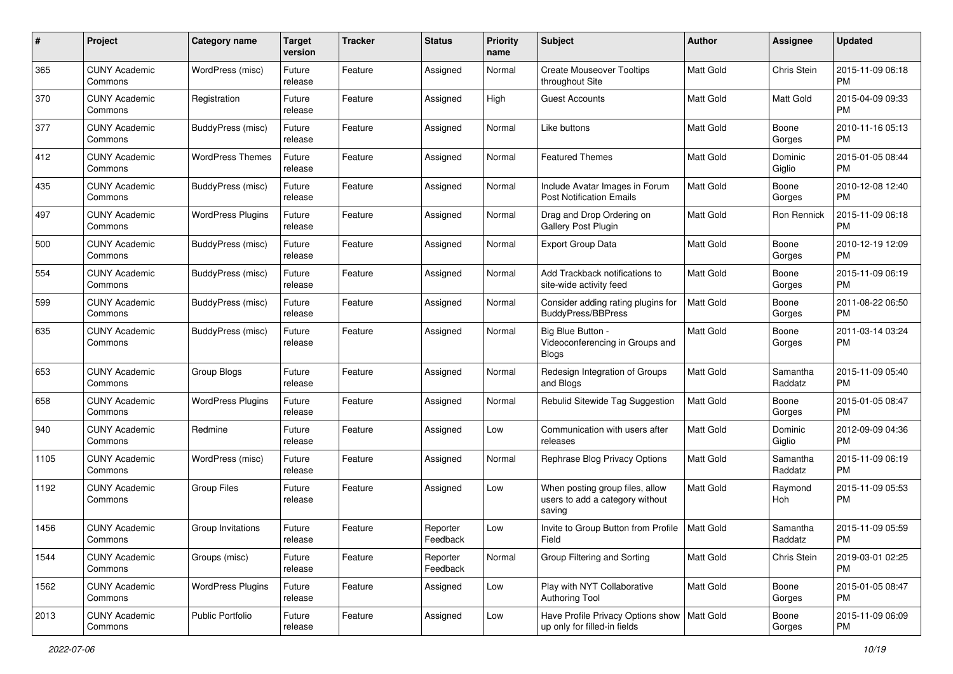| #    | Project                         | <b>Category name</b>     | <b>Target</b><br>version | <b>Tracker</b> | <b>Status</b>        | <b>Priority</b><br>name | Subject                                                                       | Author           | <b>Assignee</b>     | <b>Updated</b>                |
|------|---------------------------------|--------------------------|--------------------------|----------------|----------------------|-------------------------|-------------------------------------------------------------------------------|------------------|---------------------|-------------------------------|
| 365  | <b>CUNY Academic</b><br>Commons | WordPress (misc)         | Future<br>release        | Feature        | Assigned             | Normal                  | <b>Create Mouseover Tooltips</b><br>throughout Site                           | <b>Matt Gold</b> | Chris Stein         | 2015-11-09 06:18<br>PM        |
| 370  | <b>CUNY Academic</b><br>Commons | Registration             | Future<br>release        | Feature        | Assigned             | High                    | <b>Guest Accounts</b>                                                         | <b>Matt Gold</b> | Matt Gold           | 2015-04-09 09:33<br><b>PM</b> |
| 377  | CUNY Academic<br>Commons        | BuddyPress (misc)        | Future<br>release        | Feature        | Assigned             | Normal                  | Like buttons                                                                  | <b>Matt Gold</b> | Boone<br>Gorges     | 2010-11-16 05:13<br>PM        |
| 412  | <b>CUNY Academic</b><br>Commons | <b>WordPress Themes</b>  | Future<br>release        | Feature        | Assigned             | Normal                  | Featured Themes                                                               | <b>Matt Gold</b> | Dominic<br>Giglio   | 2015-01-05 08:44<br>PM        |
| 435  | CUNY Academic<br>Commons        | BuddyPress (misc)        | Future<br>release        | Feature        | Assigned             | Normal                  | Include Avatar Images in Forum<br><b>Post Notification Emails</b>             | <b>Matt Gold</b> | Boone<br>Gorges     | 2010-12-08 12:40<br>PM        |
| 497  | <b>CUNY Academic</b><br>Commons | <b>WordPress Plugins</b> | Future<br>release        | Feature        | Assigned             | Normal                  | Drag and Drop Ordering on<br>Gallery Post Plugin                              | Matt Gold        | Ron Rennick         | 2015-11-09 06:18<br>PM        |
| 500  | <b>CUNY Academic</b><br>Commons | BuddyPress (misc)        | Future<br>release        | Feature        | Assigned             | Normal                  | <b>Export Group Data</b>                                                      | <b>Matt Gold</b> | Boone<br>Gorges     | 2010-12-19 12:09<br>PM        |
| 554  | <b>CUNY Academic</b><br>Commons | BuddyPress (misc)        | Future<br>release        | Feature        | Assigned             | Normal                  | Add Trackback notifications to<br>site-wide activity feed                     | <b>Matt Gold</b> | Boone<br>Gorges     | 2015-11-09 06:19<br>PM        |
| 599  | <b>CUNY Academic</b><br>Commons | BuddyPress (misc)        | Future<br>release        | Feature        | Assigned             | Normal                  | Consider adding rating plugins for<br>BuddyPress/BBPress                      | Matt Gold        | Boone<br>Gorges     | 2011-08-22 06:50<br><b>PM</b> |
| 635  | CUNY Academic<br>Commons        | BuddyPress (misc)        | Future<br>release        | Feature        | Assigned             | Normal                  | Big Blue Button -<br>Videoconferencing in Groups and<br>Blogs                 | <b>Matt Gold</b> | Boone<br>Gorges     | 2011-03-14 03:24<br>PM        |
| 653  | <b>CUNY Academic</b><br>Commons | Group Blogs              | Future<br>release        | Feature        | Assigned             | Normal                  | Redesign Integration of Groups<br>and Blogs                                   | Matt Gold        | Samantha<br>Raddatz | 2015-11-09 05:40<br>PM        |
| 658  | <b>CUNY Academic</b><br>Commons | <b>WordPress Plugins</b> | Future<br>release        | Feature        | Assigned             | Normal                  | Rebulid Sitewide Tag Suggestion                                               | Matt Gold        | Boone<br>Gorges     | 2015-01-05 08:47<br>PM        |
| 940  | <b>CUNY Academic</b><br>Commons | Redmine                  | Future<br>release        | Feature        | Assigned             | Low                     | Communication with users after<br>releases                                    | <b>Matt Gold</b> | Dominic<br>Giglio   | 2012-09-09 04:36<br>PM        |
| 1105 | <b>CUNY Academic</b><br>Commons | WordPress (misc)         | Future<br>release        | Feature        | Assigned             | Normal                  | Rephrase Blog Privacy Options                                                 | Matt Gold        | Samantha<br>Raddatz | 2015-11-09 06:19<br>PM        |
| 1192 | CUNY Academic<br>Commons        | <b>Group Files</b>       | Future<br>release        | Feature        | Assigned             | Low                     | When posting group files, allow<br>users to add a category without<br>saving  | Matt Gold        | Raymond<br>Hoh      | 2015-11-09 05:53<br>PM        |
| 1456 | CUNY Academic<br>Commons        | Group Invitations        | Future<br>release        | Feature        | Reporter<br>Feedback | Low                     | Invite to Group Button from Profile<br>Field                                  | Matt Gold        | Samantha<br>Raddatz | 2015-11-09 05:59<br>PM        |
| 1544 | <b>CUNY Academic</b><br>Commons | Groups (misc)            | Future<br>release        | Feature        | Reporter<br>Feedback | Normal                  | Group Filtering and Sorting                                                   | Matt Gold        | <b>Chris Stein</b>  | 2019-03-01 02:25<br>PM        |
| 1562 | <b>CUNY Academic</b><br>Commons | <b>WordPress Plugins</b> | Future<br>release        | Feature        | Assigned             | Low                     | Play with NYT Collaborative<br>Authoring Tool                                 | <b>Matt Gold</b> | Boone<br>Gorges     | 2015-01-05 08:47<br><b>PM</b> |
| 2013 | <b>CUNY Academic</b><br>Commons | Public Portfolio         | Future<br>release        | Feature        | Assigned             | Low                     | Have Profile Privacy Options show   Matt Gold<br>up only for filled-in fields |                  | Boone<br>Gorges     | 2015-11-09 06:09<br>PM        |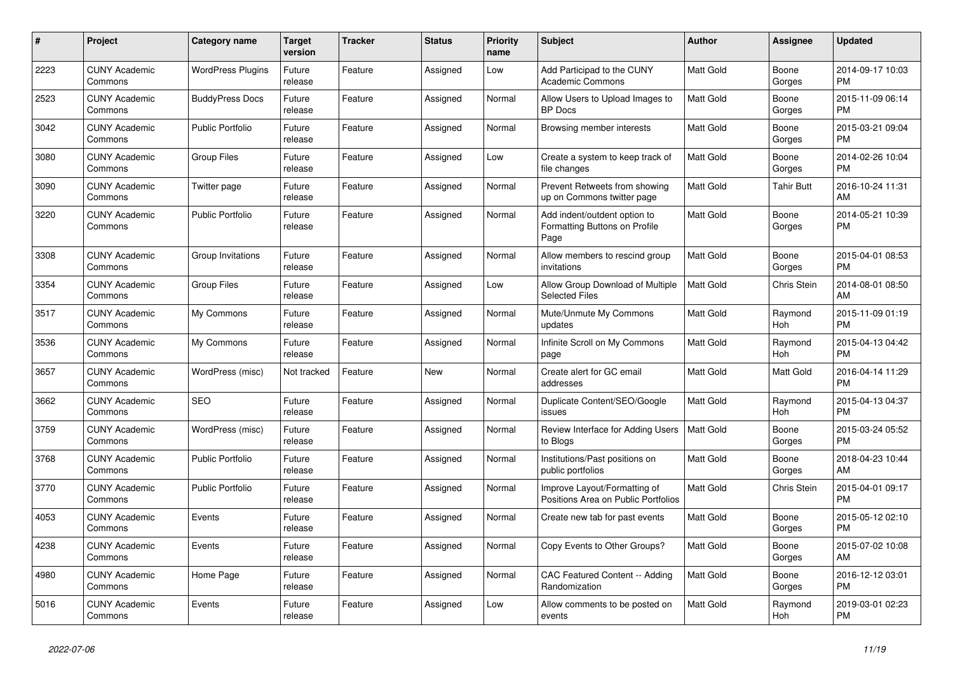| #    | <b>Project</b>                  | Category name            | <b>Target</b><br>version | <b>Tracker</b> | <b>Status</b> | <b>Priority</b><br>name | <b>Subject</b>                                                        | <b>Author</b>    | Assignee        | <b>Updated</b>                |
|------|---------------------------------|--------------------------|--------------------------|----------------|---------------|-------------------------|-----------------------------------------------------------------------|------------------|-----------------|-------------------------------|
| 2223 | <b>CUNY Academic</b><br>Commons | <b>WordPress Plugins</b> | Future<br>release        | Feature        | Assigned      | Low                     | Add Participad to the CUNY<br><b>Academic Commons</b>                 | <b>Matt Gold</b> | Boone<br>Gorges | 2014-09-17 10:03<br><b>PM</b> |
| 2523 | <b>CUNY Academic</b><br>Commons | <b>BuddyPress Docs</b>   | Future<br>release        | Feature        | Assigned      | Normal                  | Allow Users to Upload Images to<br><b>BP</b> Docs                     | <b>Matt Gold</b> | Boone<br>Gorges | 2015-11-09 06:14<br><b>PM</b> |
| 3042 | <b>CUNY Academic</b><br>Commons | Public Portfolio         | Future<br>release        | Feature        | Assigned      | Normal                  | Browsing member interests                                             | Matt Gold        | Boone<br>Gorges | 2015-03-21 09:04<br><b>PM</b> |
| 3080 | <b>CUNY Academic</b><br>Commons | <b>Group Files</b>       | Future<br>release        | Feature        | Assigned      | Low                     | Create a system to keep track of<br>file changes                      | Matt Gold        | Boone<br>Gorges | 2014-02-26 10:04<br><b>PM</b> |
| 3090 | <b>CUNY Academic</b><br>Commons | Twitter page             | Future<br>release        | Feature        | Assigned      | Normal                  | Prevent Retweets from showing<br>up on Commons twitter page           | Matt Gold        | Tahir Butt      | 2016-10-24 11:31<br>AM        |
| 3220 | <b>CUNY Academic</b><br>Commons | <b>Public Portfolio</b>  | Future<br>release        | Feature        | Assigned      | Normal                  | Add indent/outdent option to<br>Formatting Buttons on Profile<br>Page | <b>Matt Gold</b> | Boone<br>Gorges | 2014-05-21 10:39<br><b>PM</b> |
| 3308 | <b>CUNY Academic</b><br>Commons | Group Invitations        | Future<br>release        | Feature        | Assigned      | Normal                  | Allow members to rescind group<br>invitations                         | Matt Gold        | Boone<br>Gorges | 2015-04-01 08:53<br><b>PM</b> |
| 3354 | <b>CUNY Academic</b><br>Commons | <b>Group Files</b>       | Future<br>release        | Feature        | Assigned      | Low                     | Allow Group Download of Multiple<br><b>Selected Files</b>             | <b>Matt Gold</b> | Chris Stein     | 2014-08-01 08:50<br>AM        |
| 3517 | <b>CUNY Academic</b><br>Commons | My Commons               | Future<br>release        | Feature        | Assigned      | Normal                  | Mute/Unmute My Commons<br>updates                                     | <b>Matt Gold</b> | Raymond<br>Hoh  | 2015-11-09 01:19<br><b>PM</b> |
| 3536 | <b>CUNY Academic</b><br>Commons | My Commons               | Future<br>release        | Feature        | Assigned      | Normal                  | Infinite Scroll on My Commons<br>page                                 | <b>Matt Gold</b> | Raymond<br>Hoh  | 2015-04-13 04:42<br><b>PM</b> |
| 3657 | <b>CUNY Academic</b><br>Commons | WordPress (misc)         | Not tracked              | Feature        | New           | Normal                  | Create alert for GC email<br>addresses                                | <b>Matt Gold</b> | Matt Gold       | 2016-04-14 11:29<br><b>PM</b> |
| 3662 | <b>CUNY Academic</b><br>Commons | <b>SEO</b>               | Future<br>release        | Feature        | Assigned      | Normal                  | Duplicate Content/SEO/Google<br>issues                                | <b>Matt Gold</b> | Raymond<br>Hoh  | 2015-04-13 04:37<br><b>PM</b> |
| 3759 | <b>CUNY Academic</b><br>Commons | WordPress (misc)         | Future<br>release        | Feature        | Assigned      | Normal                  | Review Interface for Adding Users<br>to Blogs                         | <b>Matt Gold</b> | Boone<br>Gorges | 2015-03-24 05:52<br><b>PM</b> |
| 3768 | <b>CUNY Academic</b><br>Commons | Public Portfolio         | Future<br>release        | Feature        | Assigned      | Normal                  | Institutions/Past positions on<br>public portfolios                   | <b>Matt Gold</b> | Boone<br>Gorges | 2018-04-23 10:44<br>AM        |
| 3770 | <b>CUNY Academic</b><br>Commons | <b>Public Portfolio</b>  | Future<br>release        | Feature        | Assigned      | Normal                  | Improve Layout/Formatting of<br>Positions Area on Public Portfolios   | <b>Matt Gold</b> | Chris Stein     | 2015-04-01 09:17<br><b>PM</b> |
| 4053 | <b>CUNY Academic</b><br>Commons | Events                   | Future<br>release        | Feature        | Assigned      | Normal                  | Create new tab for past events                                        | Matt Gold        | Boone<br>Gorges | 2015-05-12 02:10<br><b>PM</b> |
| 4238 | <b>CUNY Academic</b><br>Commons | Events                   | Future<br>release        | Feature        | Assigned      | Normal                  | Copy Events to Other Groups?                                          | Matt Gold        | Boone<br>Gorges | 2015-07-02 10:08<br>AM        |
| 4980 | <b>CUNY Academic</b><br>Commons | Home Page                | Future<br>release        | Feature        | Assigned      | Normal                  | <b>CAC Featured Content -- Adding</b><br>Randomization                | <b>Matt Gold</b> | Boone<br>Gorges | 2016-12-12 03:01<br><b>PM</b> |
| 5016 | <b>CUNY Academic</b><br>Commons | Events                   | Future<br>release        | Feature        | Assigned      | Low                     | Allow comments to be posted on<br>events                              | <b>Matt Gold</b> | Raymond<br>Hoh  | 2019-03-01 02:23<br>PM        |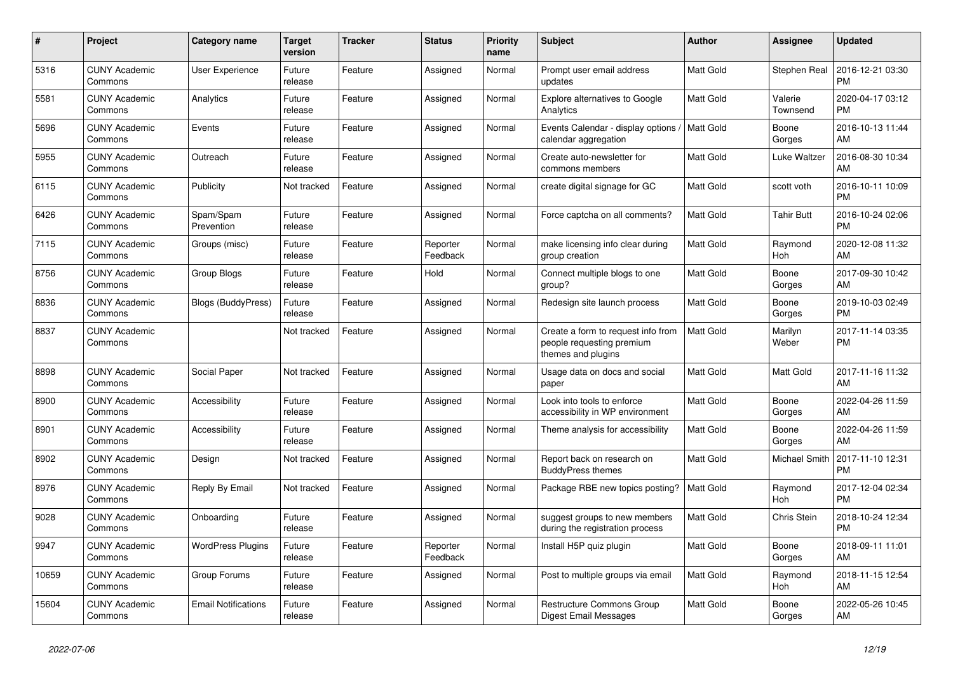| #     | <b>Project</b>                  | <b>Category name</b>       | <b>Target</b><br>version | <b>Tracker</b> | <b>Status</b>        | <b>Priority</b><br>name | <b>Subject</b>                                                                        | Author           | Assignee            | <b>Updated</b>                |
|-------|---------------------------------|----------------------------|--------------------------|----------------|----------------------|-------------------------|---------------------------------------------------------------------------------------|------------------|---------------------|-------------------------------|
| 5316  | <b>CUNY Academic</b><br>Commons | <b>User Experience</b>     | Future<br>release        | Feature        | Assigned             | Normal                  | Prompt user email address<br>updates                                                  | <b>Matt Gold</b> | Stephen Real        | 2016-12-21 03:30<br><b>PM</b> |
| 5581  | <b>CUNY Academic</b><br>Commons | Analytics                  | Future<br>release        | Feature        | Assigned             | Normal                  | <b>Explore alternatives to Google</b><br>Analytics                                    | <b>Matt Gold</b> | Valerie<br>Townsend | 2020-04-17 03:12<br><b>PM</b> |
| 5696  | <b>CUNY Academic</b><br>Commons | Events                     | Future<br>release        | Feature        | Assigned             | Normal                  | Events Calendar - display options /<br>calendar aggregation                           | Matt Gold        | Boone<br>Gorges     | 2016-10-13 11:44<br>AM        |
| 5955  | <b>CUNY Academic</b><br>Commons | Outreach                   | Future<br>release        | Feature        | Assigned             | Normal                  | Create auto-newsletter for<br>commons members                                         | <b>Matt Gold</b> | Luke Waltzer        | 2016-08-30 10:34<br>AM        |
| 6115  | <b>CUNY Academic</b><br>Commons | Publicity                  | Not tracked              | Feature        | Assigned             | Normal                  | create digital signage for GC                                                         | <b>Matt Gold</b> | scott voth          | 2016-10-11 10:09<br><b>PM</b> |
| 6426  | <b>CUNY Academic</b><br>Commons | Spam/Spam<br>Prevention    | Future<br>release        | Feature        | Assigned             | Normal                  | Force captcha on all comments?                                                        | <b>Matt Gold</b> | Tahir Butt          | 2016-10-24 02:06<br><b>PM</b> |
| 7115  | <b>CUNY Academic</b><br>Commons | Groups (misc)              | Future<br>release        | Feature        | Reporter<br>Feedback | Normal                  | make licensing info clear during<br>group creation                                    | <b>Matt Gold</b> | Raymond<br>Hoh      | 2020-12-08 11:32<br>AM        |
| 8756  | <b>CUNY Academic</b><br>Commons | Group Blogs                | Future<br>release        | Feature        | Hold                 | Normal                  | Connect multiple blogs to one<br>group?                                               | Matt Gold        | Boone<br>Gorges     | 2017-09-30 10:42<br>AM        |
| 8836  | <b>CUNY Academic</b><br>Commons | Blogs (BuddyPress)         | Future<br>release        | Feature        | Assigned             | Normal                  | Redesign site launch process                                                          | <b>Matt Gold</b> | Boone<br>Gorges     | 2019-10-03 02:49<br><b>PM</b> |
| 8837  | <b>CUNY Academic</b><br>Commons |                            | Not tracked              | Feature        | Assigned             | Normal                  | Create a form to request info from<br>people requesting premium<br>themes and plugins | <b>Matt Gold</b> | Marilyn<br>Weber    | 2017-11-14 03:35<br><b>PM</b> |
| 8898  | <b>CUNY Academic</b><br>Commons | Social Paper               | Not tracked              | Feature        | Assigned             | Normal                  | Usage data on docs and social<br>paper                                                | <b>Matt Gold</b> | Matt Gold           | 2017-11-16 11:32<br>AM        |
| 8900  | <b>CUNY Academic</b><br>Commons | Accessibility              | Future<br>release        | Feature        | Assigned             | Normal                  | Look into tools to enforce<br>accessibility in WP environment                         | <b>Matt Gold</b> | Boone<br>Gorges     | 2022-04-26 11:59<br>AM        |
| 8901  | <b>CUNY Academic</b><br>Commons | Accessibility              | Future<br>release        | Feature        | Assigned             | Normal                  | Theme analysis for accessibility                                                      | <b>Matt Gold</b> | Boone<br>Gorges     | 2022-04-26 11:59<br>AM        |
| 8902  | <b>CUNY Academic</b><br>Commons | Design                     | Not tracked              | Feature        | Assigned             | Normal                  | Report back on research on<br><b>BuddyPress themes</b>                                | <b>Matt Gold</b> | Michael Smith       | 2017-11-10 12:31<br><b>PM</b> |
| 8976  | <b>CUNY Academic</b><br>Commons | Reply By Email             | Not tracked              | Feature        | Assigned             | Normal                  | Package RBE new topics posting?                                                       | <b>Matt Gold</b> | Raymond<br>Hoh      | 2017-12-04 02:34<br><b>PM</b> |
| 9028  | <b>CUNY Academic</b><br>Commons | Onboarding                 | Future<br>release        | Feature        | Assigned             | Normal                  | suggest groups to new members<br>during the registration process                      | <b>Matt Gold</b> | Chris Stein         | 2018-10-24 12:34<br><b>PM</b> |
| 9947  | <b>CUNY Academic</b><br>Commons | <b>WordPress Plugins</b>   | Future<br>release        | Feature        | Reporter<br>Feedback | Normal                  | Install H5P quiz plugin                                                               | <b>Matt Gold</b> | Boone<br>Gorges     | 2018-09-11 11:01<br>AM        |
| 10659 | <b>CUNY Academic</b><br>Commons | Group Forums               | Future<br>release        | Feature        | Assigned             | Normal                  | Post to multiple groups via email                                                     | <b>Matt Gold</b> | Raymond<br>Hoh      | 2018-11-15 12:54<br>AM        |
| 15604 | <b>CUNY Academic</b><br>Commons | <b>Email Notifications</b> | Future<br>release        | Feature        | Assigned             | Normal                  | <b>Restructure Commons Group</b><br>Digest Email Messages                             | <b>Matt Gold</b> | Boone<br>Gorges     | 2022-05-26 10:45<br>AM        |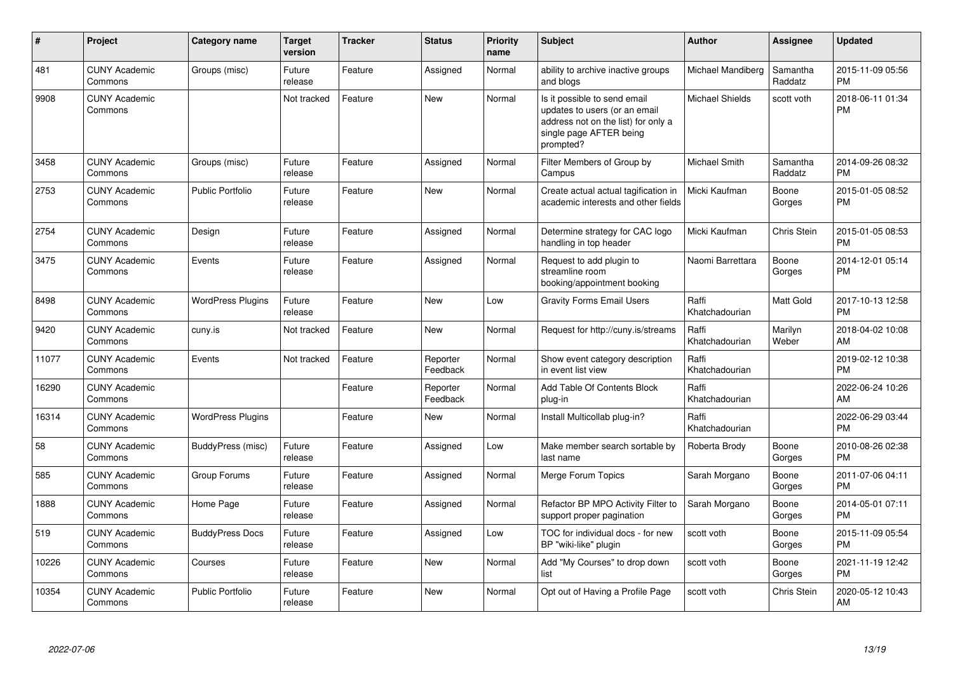| #     | Project                         | Category name            | <b>Target</b><br>version | <b>Tracker</b> | <b>Status</b>        | <b>Priority</b><br>name | <b>Subject</b>                                                                                                                               | Author                  | <b>Assignee</b>     | <b>Updated</b>                |
|-------|---------------------------------|--------------------------|--------------------------|----------------|----------------------|-------------------------|----------------------------------------------------------------------------------------------------------------------------------------------|-------------------------|---------------------|-------------------------------|
| 481   | <b>CUNY Academic</b><br>Commons | Groups (misc)            | Future<br>release        | Feature        | Assigned             | Normal                  | ability to archive inactive groups<br>and blogs                                                                                              | Michael Mandiberg       | Samantha<br>Raddatz | 2015-11-09 05:56<br><b>PM</b> |
| 9908  | <b>CUNY Academic</b><br>Commons |                          | Not tracked              | Feature        | <b>New</b>           | Normal                  | Is it possible to send email<br>updates to users (or an email<br>address not on the list) for only a<br>single page AFTER being<br>prompted? | <b>Michael Shields</b>  | scott voth          | 2018-06-11 01:34<br><b>PM</b> |
| 3458  | <b>CUNY Academic</b><br>Commons | Groups (misc)            | Future<br>release        | Feature        | Assigned             | Normal                  | Filter Members of Group by<br>Campus                                                                                                         | <b>Michael Smith</b>    | Samantha<br>Raddatz | 2014-09-26 08:32<br><b>PM</b> |
| 2753  | <b>CUNY Academic</b><br>Commons | <b>Public Portfolio</b>  | Future<br>release        | Feature        | New                  | Normal                  | Create actual actual tagification in<br>academic interests and other fields                                                                  | Micki Kaufman           | Boone<br>Gorges     | 2015-01-05 08:52<br><b>PM</b> |
| 2754  | <b>CUNY Academic</b><br>Commons | Design                   | Future<br>release        | Feature        | Assigned             | Normal                  | Determine strategy for CAC logo<br>handling in top header                                                                                    | Micki Kaufman           | Chris Stein         | 2015-01-05 08:53<br><b>PM</b> |
| 3475  | <b>CUNY Academic</b><br>Commons | Events                   | Future<br>release        | Feature        | Assigned             | Normal                  | Request to add plugin to<br>streamline room<br>booking/appointment booking                                                                   | Naomi Barrettara        | Boone<br>Gorges     | 2014-12-01 05:14<br><b>PM</b> |
| 8498  | <b>CUNY Academic</b><br>Commons | <b>WordPress Plugins</b> | Future<br>release        | Feature        | <b>New</b>           | Low                     | <b>Gravity Forms Email Users</b>                                                                                                             | Raffi<br>Khatchadourian | Matt Gold           | 2017-10-13 12:58<br><b>PM</b> |
| 9420  | <b>CUNY Academic</b><br>Commons | cuny.is                  | Not tracked              | Feature        | <b>New</b>           | Normal                  | Request for http://cuny.is/streams                                                                                                           | Raffi<br>Khatchadourian | Marilyn<br>Weber    | 2018-04-02 10:08<br>AM        |
| 11077 | <b>CUNY Academic</b><br>Commons | Events                   | Not tracked              | Feature        | Reporter<br>Feedback | Normal                  | Show event category description<br>in event list view                                                                                        | Raffi<br>Khatchadourian |                     | 2019-02-12 10:38<br><b>PM</b> |
| 16290 | <b>CUNY Academic</b><br>Commons |                          |                          | Feature        | Reporter<br>Feedback | Normal                  | Add Table Of Contents Block<br>plug-in                                                                                                       | Raffi<br>Khatchadourian |                     | 2022-06-24 10:26<br>AM        |
| 16314 | <b>CUNY Academic</b><br>Commons | <b>WordPress Plugins</b> |                          | Feature        | <b>New</b>           | Normal                  | Install Multicollab plug-in?                                                                                                                 | Raffi<br>Khatchadourian |                     | 2022-06-29 03:44<br><b>PM</b> |
| 58    | <b>CUNY Academic</b><br>Commons | BuddyPress (misc)        | Future<br>release        | Feature        | Assigned             | Low                     | Make member search sortable by<br>last name                                                                                                  | Roberta Brody           | Boone<br>Gorges     | 2010-08-26 02:38<br><b>PM</b> |
| 585   | <b>CUNY Academic</b><br>Commons | Group Forums             | Future<br>release        | Feature        | Assigned             | Normal                  | Merge Forum Topics                                                                                                                           | Sarah Morgano           | Boone<br>Gorges     | 2011-07-06 04:11<br><b>PM</b> |
| 1888  | <b>CUNY Academic</b><br>Commons | Home Page                | Future<br>release        | Feature        | Assigned             | Normal                  | Refactor BP MPO Activity Filter to<br>support proper pagination                                                                              | Sarah Morgano           | Boone<br>Gorges     | 2014-05-01 07:11<br><b>PM</b> |
| 519   | <b>CUNY Academic</b><br>Commons | <b>BuddyPress Docs</b>   | Future<br>release        | Feature        | Assigned             | Low                     | TOC for individual docs - for new<br>BP "wiki-like" plugin                                                                                   | scott voth              | Boone<br>Gorges     | 2015-11-09 05:54<br><b>PM</b> |
| 10226 | <b>CUNY Academic</b><br>Commons | Courses                  | Future<br>release        | Feature        | <b>New</b>           | Normal                  | Add "My Courses" to drop down<br>list                                                                                                        | scott voth              | Boone<br>Gorges     | 2021-11-19 12:42<br><b>PM</b> |
| 10354 | <b>CUNY Academic</b><br>Commons | <b>Public Portfolio</b>  | Future<br>release        | Feature        | <b>New</b>           | Normal                  | Opt out of Having a Profile Page                                                                                                             | scott voth              | Chris Stein         | 2020-05-12 10:43<br>AM        |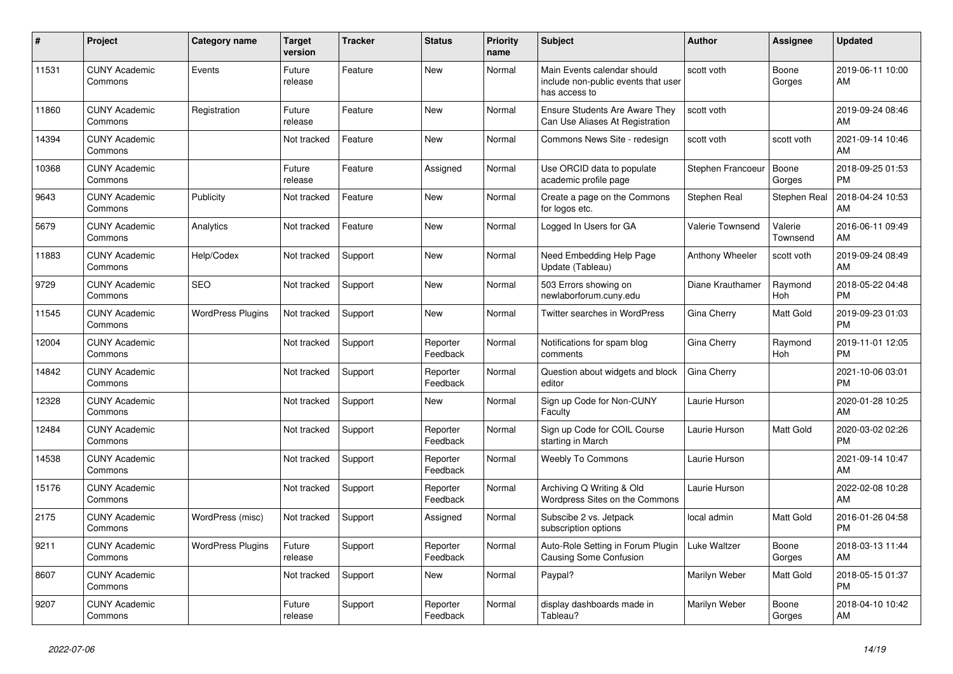| #     | <b>Project</b>                  | Category name            | <b>Target</b><br>version | <b>Tracker</b> | <b>Status</b>        | <b>Priority</b><br>name | <b>Subject</b>                                                                      | Author            | Assignee            | <b>Updated</b>                |
|-------|---------------------------------|--------------------------|--------------------------|----------------|----------------------|-------------------------|-------------------------------------------------------------------------------------|-------------------|---------------------|-------------------------------|
| 11531 | <b>CUNY Academic</b><br>Commons | Events                   | Future<br>release        | Feature        | <b>New</b>           | Normal                  | Main Events calendar should<br>include non-public events that user<br>has access to | scott voth        | Boone<br>Gorges     | 2019-06-11 10:00<br>AM        |
| 11860 | <b>CUNY Academic</b><br>Commons | Registration             | Future<br>release        | Feature        | New                  | Normal                  | <b>Ensure Students Are Aware They</b><br>Can Use Aliases At Registration            | scott voth        |                     | 2019-09-24 08:46<br>AM        |
| 14394 | <b>CUNY Academic</b><br>Commons |                          | Not tracked              | Feature        | <b>New</b>           | Normal                  | Commons News Site - redesign                                                        | scott voth        | scott voth          | 2021-09-14 10:46<br>AM        |
| 10368 | <b>CUNY Academic</b><br>Commons |                          | Future<br>release        | Feature        | Assigned             | Normal                  | Use ORCID data to populate<br>academic profile page                                 | Stephen Francoeur | Boone<br>Gorges     | 2018-09-25 01:53<br><b>PM</b> |
| 9643  | <b>CUNY Academic</b><br>Commons | Publicity                | Not tracked              | Feature        | New                  | Normal                  | Create a page on the Commons<br>for logos etc.                                      | Stephen Real      | Stephen Real        | 2018-04-24 10:53<br>AM        |
| 5679  | <b>CUNY Academic</b><br>Commons | Analytics                | Not tracked              | Feature        | <b>New</b>           | Normal                  | Logged In Users for GA                                                              | Valerie Townsend  | Valerie<br>Townsend | 2016-06-11 09:49<br>AM        |
| 11883 | <b>CUNY Academic</b><br>Commons | Help/Codex               | Not tracked              | Support        | <b>New</b>           | Normal                  | Need Embedding Help Page<br>Update (Tableau)                                        | Anthony Wheeler   | scott voth          | 2019-09-24 08:49<br>AM        |
| 9729  | <b>CUNY Academic</b><br>Commons | <b>SEO</b>               | Not tracked              | Support        | New                  | Normal                  | 503 Errors showing on<br>newlaborforum.cuny.edu                                     | Diane Krauthamer  | Raymond<br>Hoh      | 2018-05-22 04:48<br><b>PM</b> |
| 11545 | <b>CUNY Academic</b><br>Commons | <b>WordPress Plugins</b> | Not tracked              | Support        | <b>New</b>           | Normal                  | Twitter searches in WordPress                                                       | Gina Cherry       | Matt Gold           | 2019-09-23 01:03<br><b>PM</b> |
| 12004 | <b>CUNY Academic</b><br>Commons |                          | Not tracked              | Support        | Reporter<br>Feedback | Normal                  | Notifications for spam blog<br>comments                                             | Gina Cherry       | Raymond<br>Hoh      | 2019-11-01 12:05<br><b>PM</b> |
| 14842 | <b>CUNY Academic</b><br>Commons |                          | Not tracked              | Support        | Reporter<br>Feedback | Normal                  | Question about widgets and block<br>editor                                          | Gina Cherry       |                     | 2021-10-06 03:01<br><b>PM</b> |
| 12328 | <b>CUNY Academic</b><br>Commons |                          | Not tracked              | Support        | New                  | Normal                  | Sign up Code for Non-CUNY<br>Faculty                                                | Laurie Hurson     |                     | 2020-01-28 10:25<br>AM        |
| 12484 | <b>CUNY Academic</b><br>Commons |                          | Not tracked              | Support        | Reporter<br>Feedback | Normal                  | Sign up Code for COIL Course<br>starting in March                                   | Laurie Hurson     | Matt Gold           | 2020-03-02 02:26<br>PM        |
| 14538 | <b>CUNY Academic</b><br>Commons |                          | Not tracked              | Support        | Reporter<br>Feedback | Normal                  | <b>Weebly To Commons</b>                                                            | Laurie Hurson     |                     | 2021-09-14 10:47<br>AM        |
| 15176 | <b>CUNY Academic</b><br>Commons |                          | Not tracked              | Support        | Reporter<br>Feedback | Normal                  | Archiving Q Writing & Old<br>Wordpress Sites on the Commons                         | Laurie Hurson     |                     | 2022-02-08 10:28<br>AM        |
| 2175  | <b>CUNY Academic</b><br>Commons | WordPress (misc)         | Not tracked              | Support        | Assigned             | Normal                  | Subscibe 2 vs. Jetpack<br>subscription options                                      | local admin       | Matt Gold           | 2016-01-26 04:58<br><b>PM</b> |
| 9211  | <b>CUNY Academic</b><br>Commons | <b>WordPress Plugins</b> | Future<br>release        | Support        | Reporter<br>Feedback | Normal                  | Auto-Role Setting in Forum Plugin<br>Causing Some Confusion                         | Luke Waltzer      | Boone<br>Gorges     | 2018-03-13 11:44<br>AM        |
| 8607  | <b>CUNY Academic</b><br>Commons |                          | Not tracked              | Support        | New                  | Normal                  | Paypal?                                                                             | Marilyn Weber     | Matt Gold           | 2018-05-15 01:37<br><b>PM</b> |
| 9207  | <b>CUNY Academic</b><br>Commons |                          | Future<br>release        | Support        | Reporter<br>Feedback | Normal                  | display dashboards made in<br>Tableau?                                              | Marilyn Weber     | Boone<br>Gorges     | 2018-04-10 10:42<br>AM        |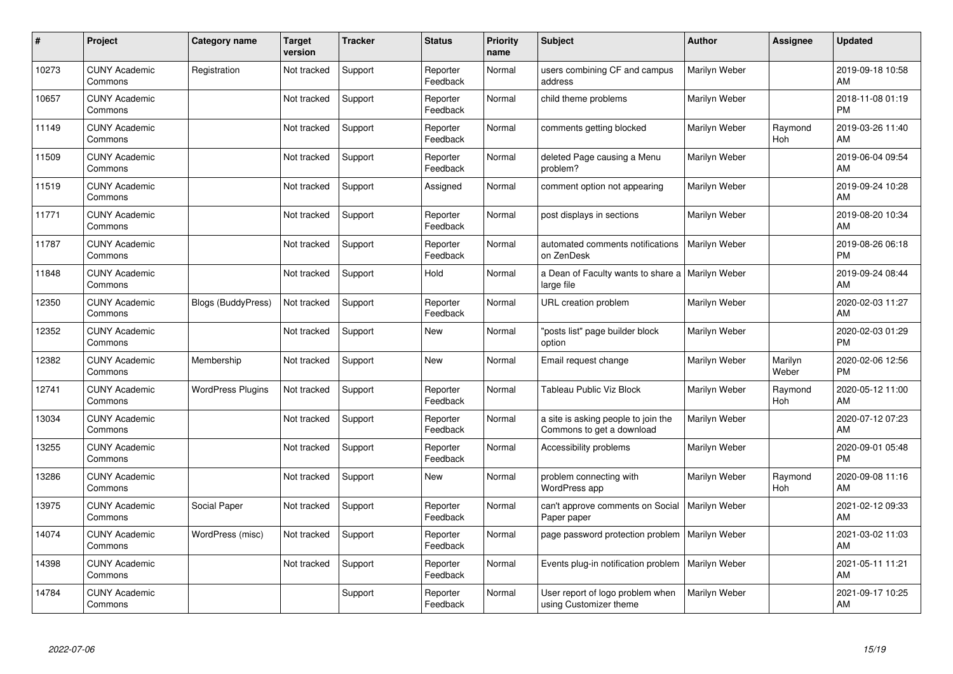| #     | Project                         | Category name             | <b>Target</b><br>version | <b>Tracker</b> | <b>Status</b>        | <b>Priority</b><br>name | Subject                                                          | <b>Author</b> | <b>Assignee</b>  | <b>Updated</b>                |
|-------|---------------------------------|---------------------------|--------------------------|----------------|----------------------|-------------------------|------------------------------------------------------------------|---------------|------------------|-------------------------------|
| 10273 | <b>CUNY Academic</b><br>Commons | Registration              | Not tracked              | Support        | Reporter<br>Feedback | Normal                  | users combining CF and campus<br>address                         | Marilyn Weber |                  | 2019-09-18 10:58<br>AM        |
| 10657 | <b>CUNY Academic</b><br>Commons |                           | Not tracked              | Support        | Reporter<br>Feedback | Normal                  | child theme problems                                             | Marilyn Weber |                  | 2018-11-08 01:19<br><b>PM</b> |
| 11149 | <b>CUNY Academic</b><br>Commons |                           | Not tracked              | Support        | Reporter<br>Feedback | Normal                  | comments getting blocked                                         | Marilyn Weber | Raymond<br>Hoh   | 2019-03-26 11:40<br>AM        |
| 11509 | <b>CUNY Academic</b><br>Commons |                           | Not tracked              | Support        | Reporter<br>Feedback | Normal                  | deleted Page causing a Menu<br>problem?                          | Marilyn Weber |                  | 2019-06-04 09:54<br>AM        |
| 11519 | <b>CUNY Academic</b><br>Commons |                           | Not tracked              | Support        | Assigned             | Normal                  | comment option not appearing                                     | Marilyn Weber |                  | 2019-09-24 10:28<br>AM        |
| 11771 | <b>CUNY Academic</b><br>Commons |                           | Not tracked              | Support        | Reporter<br>Feedback | Normal                  | post displays in sections                                        | Marilyn Weber |                  | 2019-08-20 10:34<br>AM        |
| 11787 | <b>CUNY Academic</b><br>Commons |                           | Not tracked              | Support        | Reporter<br>Feedback | Normal                  | automated comments notifications<br>on ZenDesk                   | Marilyn Weber |                  | 2019-08-26 06:18<br><b>PM</b> |
| 11848 | <b>CUNY Academic</b><br>Commons |                           | Not tracked              | Support        | Hold                 | Normal                  | a Dean of Faculty wants to share a   Marilyn Weber<br>large file |               |                  | 2019-09-24 08:44<br>AM        |
| 12350 | <b>CUNY Academic</b><br>Commons | <b>Blogs (BuddyPress)</b> | Not tracked              | Support        | Reporter<br>Feedback | Normal                  | URL creation problem                                             | Marilyn Weber |                  | 2020-02-03 11:27<br>AM        |
| 12352 | <b>CUNY Academic</b><br>Commons |                           | Not tracked              | Support        | <b>New</b>           | Normal                  | 'posts list" page builder block<br>option                        | Marilyn Weber |                  | 2020-02-03 01:29<br><b>PM</b> |
| 12382 | <b>CUNY Academic</b><br>Commons | Membership                | Not tracked              | Support        | New                  | Normal                  | Email request change                                             | Marilyn Weber | Marilyn<br>Weber | 2020-02-06 12:56<br><b>PM</b> |
| 12741 | <b>CUNY Academic</b><br>Commons | <b>WordPress Plugins</b>  | Not tracked              | Support        | Reporter<br>Feedback | Normal                  | <b>Tableau Public Viz Block</b>                                  | Marilyn Weber | Raymond<br>Hoh   | 2020-05-12 11:00<br>AM        |
| 13034 | <b>CUNY Academic</b><br>Commons |                           | Not tracked              | Support        | Reporter<br>Feedback | Normal                  | a site is asking people to join the<br>Commons to get a download | Marilyn Weber |                  | 2020-07-12 07:23<br>AM        |
| 13255 | <b>CUNY Academic</b><br>Commons |                           | Not tracked              | Support        | Reporter<br>Feedback | Normal                  | Accessibility problems                                           | Marilyn Weber |                  | 2020-09-01 05:48<br><b>PM</b> |
| 13286 | <b>CUNY Academic</b><br>Commons |                           | Not tracked              | Support        | New                  | Normal                  | problem connecting with<br>WordPress app                         | Marilyn Weber | Raymond<br>Hoh   | 2020-09-08 11:16<br>AM        |
| 13975 | <b>CUNY Academic</b><br>Commons | Social Paper              | Not tracked              | Support        | Reporter<br>Feedback | Normal                  | can't approve comments on Social<br>Paper paper                  | Marilyn Weber |                  | 2021-02-12 09:33<br>AM        |
| 14074 | <b>CUNY Academic</b><br>Commons | WordPress (misc)          | Not tracked              | Support        | Reporter<br>Feedback | Normal                  | page password protection problem   Marilyn Weber                 |               |                  | 2021-03-02 11:03<br>AM        |
| 14398 | <b>CUNY Academic</b><br>Commons |                           | Not tracked              | Support        | Reporter<br>Feedback | Normal                  | Events plug-in notification problem                              | Marilyn Weber |                  | 2021-05-11 11:21<br>AM        |
| 14784 | <b>CUNY Academic</b><br>Commons |                           |                          | Support        | Reporter<br>Feedback | Normal                  | User report of logo problem when<br>using Customizer theme       | Marilyn Weber |                  | 2021-09-17 10:25<br>AM        |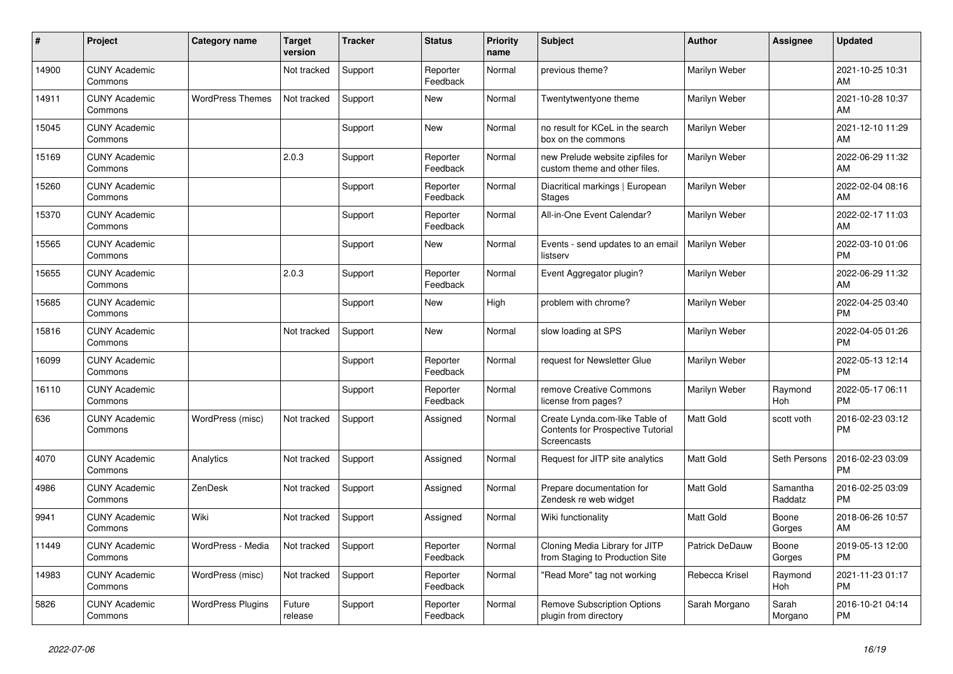| #     | Project                         | Category name            | <b>Target</b><br>version | <b>Tracker</b> | <b>Status</b>        | <b>Priority</b><br>name | <b>Subject</b>                                                                     | <b>Author</b>    | Assignee            | <b>Updated</b>                |
|-------|---------------------------------|--------------------------|--------------------------|----------------|----------------------|-------------------------|------------------------------------------------------------------------------------|------------------|---------------------|-------------------------------|
| 14900 | <b>CUNY Academic</b><br>Commons |                          | Not tracked              | Support        | Reporter<br>Feedback | Normal                  | previous theme?                                                                    | Marilyn Weber    |                     | 2021-10-25 10:31<br>AM        |
| 14911 | <b>CUNY Academic</b><br>Commons | <b>WordPress Themes</b>  | Not tracked              | Support        | New                  | Normal                  | Twentytwentyone theme                                                              | Marilyn Weber    |                     | 2021-10-28 10:37<br>AM        |
| 15045 | <b>CUNY Academic</b><br>Commons |                          |                          | Support        | New                  | Normal                  | no result for KCeL in the search<br>box on the commons                             | Marilyn Weber    |                     | 2021-12-10 11:29<br>AM        |
| 15169 | <b>CUNY Academic</b><br>Commons |                          | 2.0.3                    | Support        | Reporter<br>Feedback | Normal                  | new Prelude website zipfiles for<br>custom theme and other files.                  | Marilyn Weber    |                     | 2022-06-29 11:32<br>AM        |
| 15260 | <b>CUNY Academic</b><br>Commons |                          |                          | Support        | Reporter<br>Feedback | Normal                  | Diacritical markings   European<br>Stages                                          | Marilyn Weber    |                     | 2022-02-04 08:16<br>AM        |
| 15370 | <b>CUNY Academic</b><br>Commons |                          |                          | Support        | Reporter<br>Feedback | Normal                  | All-in-One Event Calendar?                                                         | Marilyn Weber    |                     | 2022-02-17 11:03<br>AM        |
| 15565 | <b>CUNY Academic</b><br>Commons |                          |                          | Support        | <b>New</b>           | Normal                  | Events - send updates to an email<br>listserv                                      | Marilyn Weber    |                     | 2022-03-10 01:06<br><b>PM</b> |
| 15655 | <b>CUNY Academic</b><br>Commons |                          | 2.0.3                    | Support        | Reporter<br>Feedback | Normal                  | Event Aggregator plugin?                                                           | Marilyn Weber    |                     | 2022-06-29 11:32<br>AM        |
| 15685 | <b>CUNY Academic</b><br>Commons |                          |                          | Support        | New                  | High                    | problem with chrome?                                                               | Marilyn Weber    |                     | 2022-04-25 03:40<br><b>PM</b> |
| 15816 | <b>CUNY Academic</b><br>Commons |                          | Not tracked              | Support        | <b>New</b>           | Normal                  | slow loading at SPS                                                                | Marilyn Weber    |                     | 2022-04-05 01:26<br><b>PM</b> |
| 16099 | <b>CUNY Academic</b><br>Commons |                          |                          | Support        | Reporter<br>Feedback | Normal                  | request for Newsletter Glue                                                        | Marilyn Weber    |                     | 2022-05-13 12:14<br><b>PM</b> |
| 16110 | <b>CUNY Academic</b><br>Commons |                          |                          | Support        | Reporter<br>Feedback | Normal                  | remove Creative Commons<br>license from pages?                                     | Marilyn Weber    | Raymond<br>Hoh      | 2022-05-17 06:11<br><b>PM</b> |
| 636   | <b>CUNY Academic</b><br>Commons | WordPress (misc)         | Not tracked              | Support        | Assigned             | Normal                  | Create Lynda.com-like Table of<br>Contents for Prospective Tutorial<br>Screencasts | <b>Matt Gold</b> | scott voth          | 2016-02-23 03:12<br><b>PM</b> |
| 4070  | <b>CUNY Academic</b><br>Commons | Analytics                | Not tracked              | Support        | Assigned             | Normal                  | Request for JITP site analytics                                                    | <b>Matt Gold</b> | Seth Persons        | 2016-02-23 03:09<br><b>PM</b> |
| 4986  | <b>CUNY Academic</b><br>Commons | ZenDesk                  | Not tracked              | Support        | Assigned             | Normal                  | Prepare documentation for<br>Zendesk re web widget                                 | <b>Matt Gold</b> | Samantha<br>Raddatz | 2016-02-25 03:09<br><b>PM</b> |
| 9941  | <b>CUNY Academic</b><br>Commons | Wiki                     | Not tracked              | Support        | Assigned             | Normal                  | Wiki functionality                                                                 | <b>Matt Gold</b> | Boone<br>Gorges     | 2018-06-26 10:57<br>AM        |
| 11449 | <b>CUNY Academic</b><br>Commons | WordPress - Media        | Not tracked              | Support        | Reporter<br>Feedback | Normal                  | Cloning Media Library for JITP<br>from Staging to Production Site                  | Patrick DeDauw   | Boone<br>Gorges     | 2019-05-13 12:00<br><b>PM</b> |
| 14983 | <b>CUNY Academic</b><br>Commons | WordPress (misc)         | Not tracked              | Support        | Reporter<br>Feedback | Normal                  | "Read More" tag not working                                                        | Rebecca Krisel   | Raymond<br>Hoh      | 2021-11-23 01:17<br><b>PM</b> |
| 5826  | <b>CUNY Academic</b><br>Commons | <b>WordPress Plugins</b> | Future<br>release        | Support        | Reporter<br>Feedback | Normal                  | <b>Remove Subscription Options</b><br>plugin from directory                        | Sarah Morgano    | Sarah<br>Morgano    | 2016-10-21 04:14<br><b>PM</b> |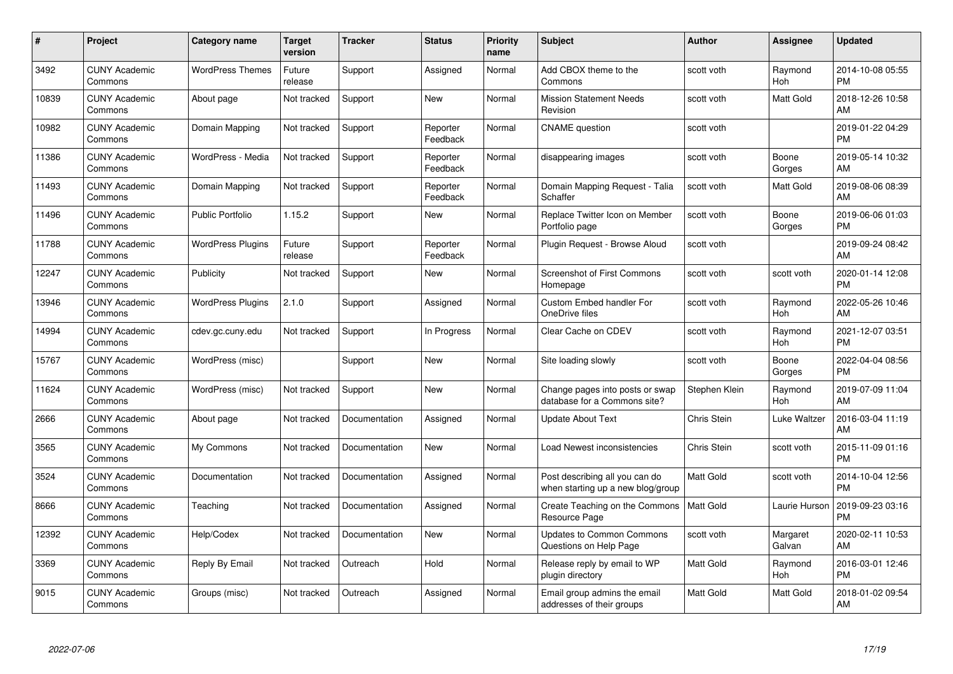| #     | Project                         | <b>Category name</b>     | <b>Target</b><br>version | <b>Tracker</b> | <b>Status</b>        | <b>Priority</b><br>name | <b>Subject</b>                                                      | <b>Author</b>    | <b>Assignee</b>    | <b>Updated</b>                |
|-------|---------------------------------|--------------------------|--------------------------|----------------|----------------------|-------------------------|---------------------------------------------------------------------|------------------|--------------------|-------------------------------|
| 3492  | <b>CUNY Academic</b><br>Commons | <b>WordPress Themes</b>  | Future<br>release        | Support        | Assigned             | Normal                  | Add CBOX theme to the<br>Commons                                    | scott voth       | Raymond<br>Hoh     | 2014-10-08 05:55<br><b>PM</b> |
| 10839 | <b>CUNY Academic</b><br>Commons | About page               | Not tracked              | Support        | <b>New</b>           | Normal                  | <b>Mission Statement Needs</b><br>Revision                          | scott voth       | Matt Gold          | 2018-12-26 10:58<br>AM        |
| 10982 | <b>CUNY Academic</b><br>Commons | Domain Mapping           | Not tracked              | Support        | Reporter<br>Feedback | Normal                  | <b>CNAME</b> question                                               | scott voth       |                    | 2019-01-22 04:29<br><b>PM</b> |
| 11386 | <b>CUNY Academic</b><br>Commons | WordPress - Media        | Not tracked              | Support        | Reporter<br>Feedback | Normal                  | disappearing images                                                 | scott voth       | Boone<br>Gorges    | 2019-05-14 10:32<br>AM        |
| 11493 | <b>CUNY Academic</b><br>Commons | Domain Mapping           | Not tracked              | Support        | Reporter<br>Feedback | Normal                  | Domain Mapping Request - Talia<br>Schaffer                          | scott voth       | Matt Gold          | 2019-08-06 08:39<br>AM        |
| 11496 | <b>CUNY Academic</b><br>Commons | <b>Public Portfolio</b>  | 1.15.2                   | Support        | New                  | Normal                  | Replace Twitter Icon on Member<br>Portfolio page                    | scott voth       | Boone<br>Gorges    | 2019-06-06 01:03<br><b>PM</b> |
| 11788 | <b>CUNY Academic</b><br>Commons | <b>WordPress Plugins</b> | Future<br>release        | Support        | Reporter<br>Feedback | Normal                  | Plugin Request - Browse Aloud                                       | scott voth       |                    | 2019-09-24 08:42<br>AM        |
| 12247 | <b>CUNY Academic</b><br>Commons | Publicity                | Not tracked              | Support        | New                  | Normal                  | <b>Screenshot of First Commons</b><br>Homepage                      | scott voth       | scott voth         | 2020-01-14 12:08<br><b>PM</b> |
| 13946 | <b>CUNY Academic</b><br>Commons | <b>WordPress Plugins</b> | 2.1.0                    | Support        | Assigned             | Normal                  | Custom Embed handler For<br>OneDrive files                          | scott voth       | Raymond<br>Hoh     | 2022-05-26 10:46<br>AM        |
| 14994 | <b>CUNY Academic</b><br>Commons | cdev.gc.cuny.edu         | Not tracked              | Support        | In Progress          | Normal                  | Clear Cache on CDEV                                                 | scott voth       | Raymond<br>Hoh     | 2021-12-07 03:51<br><b>PM</b> |
| 15767 | <b>CUNY Academic</b><br>Commons | WordPress (misc)         |                          | Support        | New                  | Normal                  | Site loading slowly                                                 | scott voth       | Boone<br>Gorges    | 2022-04-04 08:56<br><b>PM</b> |
| 11624 | <b>CUNY Academic</b><br>Commons | WordPress (misc)         | Not tracked              | Support        | <b>New</b>           | Normal                  | Change pages into posts or swap<br>database for a Commons site?     | Stephen Klein    | Raymond<br>Hoh     | 2019-07-09 11:04<br>AM        |
| 2666  | <b>CUNY Academic</b><br>Commons | About page               | Not tracked              | Documentation  | Assigned             | Normal                  | <b>Update About Text</b>                                            | Chris Stein      | Luke Waltzer       | 2016-03-04 11:19<br>AM        |
| 3565  | <b>CUNY Academic</b><br>Commons | My Commons               | Not tracked              | Documentation  | New                  | Normal                  | Load Newest inconsistencies                                         | Chris Stein      | scott voth         | 2015-11-09 01:16<br><b>PM</b> |
| 3524  | <b>CUNY Academic</b><br>Commons | Documentation            | Not tracked              | Documentation  | Assigned             | Normal                  | Post describing all you can do<br>when starting up a new blog/group | <b>Matt Gold</b> | scott voth         | 2014-10-04 12:56<br><b>PM</b> |
| 8666  | <b>CUNY Academic</b><br>Commons | Teaching                 | Not tracked              | Documentation  | Assigned             | Normal                  | Create Teaching on the Commons<br>Resource Page                     | Matt Gold        | Laurie Hurson      | 2019-09-23 03:16<br><b>PM</b> |
| 12392 | <b>CUNY Academic</b><br>Commons | Help/Codex               | Not tracked              | Documentation  | New                  | Normal                  | <b>Updates to Common Commons</b><br>Questions on Help Page          | scott voth       | Margaret<br>Galvan | 2020-02-11 10:53<br>AM        |
| 3369  | <b>CUNY Academic</b><br>Commons | Reply By Email           | Not tracked              | Outreach       | Hold                 | Normal                  | Release reply by email to WP<br>plugin directory                    | <b>Matt Gold</b> | Raymond<br>Hoh     | 2016-03-01 12:46<br><b>PM</b> |
| 9015  | <b>CUNY Academic</b><br>Commons | Groups (misc)            | Not tracked              | Outreach       | Assigned             | Normal                  | Email group admins the email<br>addresses of their groups           | <b>Matt Gold</b> | Matt Gold          | 2018-01-02 09:54<br>AM        |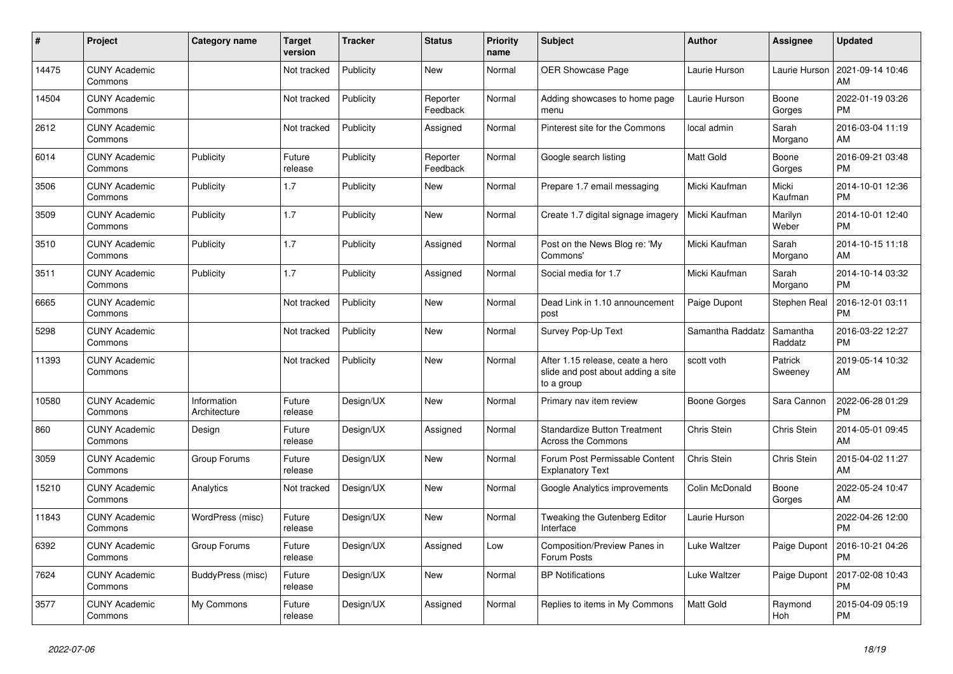| #     | Project                         | <b>Category name</b>        | <b>Target</b><br>version | <b>Tracker</b> | <b>Status</b>        | <b>Priority</b><br>name | <b>Subject</b>                                                                       | <b>Author</b>    | Assignee            | <b>Updated</b>                |
|-------|---------------------------------|-----------------------------|--------------------------|----------------|----------------------|-------------------------|--------------------------------------------------------------------------------------|------------------|---------------------|-------------------------------|
| 14475 | <b>CUNY Academic</b><br>Commons |                             | Not tracked              | Publicity      | New                  | Normal                  | <b>OER Showcase Page</b>                                                             | Laurie Hurson    | Laurie Hurson       | 2021-09-14 10:46<br>AM        |
| 14504 | <b>CUNY Academic</b><br>Commons |                             | Not tracked              | Publicity      | Reporter<br>Feedback | Normal                  | Adding showcases to home page<br>menu                                                | Laurie Hurson    | Boone<br>Gorges     | 2022-01-19 03:26<br><b>PM</b> |
| 2612  | <b>CUNY Academic</b><br>Commons |                             | Not tracked              | Publicity      | Assigned             | Normal                  | Pinterest site for the Commons                                                       | local admin      | Sarah<br>Morgano    | 2016-03-04 11:19<br>AM        |
| 6014  | <b>CUNY Academic</b><br>Commons | Publicity                   | Future<br>release        | Publicity      | Reporter<br>Feedback | Normal                  | Google search listing                                                                | <b>Matt Gold</b> | Boone<br>Gorges     | 2016-09-21 03:48<br><b>PM</b> |
| 3506  | <b>CUNY Academic</b><br>Commons | Publicity                   | 1.7                      | Publicity      | New                  | Normal                  | Prepare 1.7 email messaging                                                          | Micki Kaufman    | Micki<br>Kaufman    | 2014-10-01 12:36<br><b>PM</b> |
| 3509  | <b>CUNY Academic</b><br>Commons | Publicity                   | 1.7                      | Publicity      | New                  | Normal                  | Create 1.7 digital signage imagery                                                   | Micki Kaufman    | Marilyn<br>Weber    | 2014-10-01 12:40<br><b>PM</b> |
| 3510  | <b>CUNY Academic</b><br>Commons | Publicity                   | 1.7                      | Publicity      | Assigned             | Normal                  | Post on the News Blog re: 'My<br>Commons'                                            | Micki Kaufman    | Sarah<br>Morgano    | 2014-10-15 11:18<br>AM        |
| 3511  | <b>CUNY Academic</b><br>Commons | Publicity                   | 1.7                      | Publicity      | Assigned             | Normal                  | Social media for 1.7                                                                 | Micki Kaufman    | Sarah<br>Morgano    | 2014-10-14 03:32<br><b>PM</b> |
| 6665  | <b>CUNY Academic</b><br>Commons |                             | Not tracked              | Publicity      | New                  | Normal                  | Dead Link in 1.10 announcement<br>post                                               | Paige Dupont     | Stephen Real        | 2016-12-01 03:11<br><b>PM</b> |
| 5298  | <b>CUNY Academic</b><br>Commons |                             | Not tracked              | Publicity      | New                  | Normal                  | Survey Pop-Up Text                                                                   | Samantha Raddatz | Samantha<br>Raddatz | 2016-03-22 12:27<br><b>PM</b> |
| 11393 | <b>CUNY Academic</b><br>Commons |                             | Not tracked              | Publicity      | <b>New</b>           | Normal                  | After 1.15 release, ceate a hero<br>slide and post about adding a site<br>to a group | scott voth       | Patrick<br>Sweeney  | 2019-05-14 10:32<br>AM        |
| 10580 | <b>CUNY Academic</b><br>Commons | Information<br>Architecture | Future<br>release        | Design/UX      | <b>New</b>           | Normal                  | Primary nav item review                                                              | Boone Gorges     | Sara Cannon         | 2022-06-28 01:29<br><b>PM</b> |
| 860   | <b>CUNY Academic</b><br>Commons | Design                      | Future<br>release        | Design/UX      | Assigned             | Normal                  | <b>Standardize Button Treatment</b><br>Across the Commons                            | Chris Stein      | Chris Stein         | 2014-05-01 09:45<br>AM        |
| 3059  | <b>CUNY Academic</b><br>Commons | Group Forums                | Future<br>release        | Design/UX      | New                  | Normal                  | Forum Post Permissable Content<br><b>Explanatory Text</b>                            | Chris Stein      | Chris Stein         | 2015-04-02 11:27<br>AM        |
| 15210 | <b>CUNY Academic</b><br>Commons | Analytics                   | Not tracked              | Design/UX      | New                  | Normal                  | Google Analytics improvements                                                        | Colin McDonald   | Boone<br>Gorges     | 2022-05-24 10:47<br>AM        |
| 11843 | <b>CUNY Academic</b><br>Commons | WordPress (misc)            | Future<br>release        | Design/UX      | New                  | Normal                  | Tweaking the Gutenberg Editor<br>Interface                                           | Laurie Hurson    |                     | 2022-04-26 12:00<br><b>PM</b> |
| 6392  | <b>CUNY Academic</b><br>Commons | Group Forums                | Future<br>release        | Design/UX      | Assigned             | Low                     | Composition/Preview Panes in<br>Forum Posts                                          | Luke Waltzer     | Paige Dupont        | 2016-10-21 04:26<br><b>PM</b> |
| 7624  | <b>CUNY Academic</b><br>Commons | BuddyPress (misc)           | Future<br>release        | Design/UX      | New                  | Normal                  | <b>BP</b> Notifications                                                              | Luke Waltzer     | Paige Dupont        | 2017-02-08 10:43<br><b>PM</b> |
| 3577  | <b>CUNY Academic</b><br>Commons | My Commons                  | Future<br>release        | Design/UX      | Assigned             | Normal                  | Replies to items in My Commons                                                       | <b>Matt Gold</b> | Raymond<br>Hoh      | 2015-04-09 05:19<br><b>PM</b> |